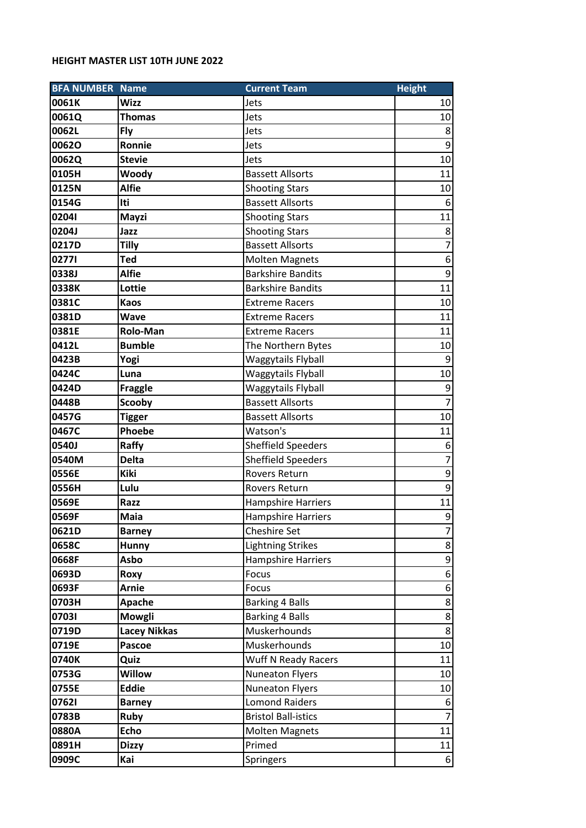## **HEIGHT MASTER LIST 10TH JUNE 2022**

| <b>BFA NUMBER Name</b> |                     | <b>Current Team</b>        | <b>Height</b>    |
|------------------------|---------------------|----------------------------|------------------|
| 0061K                  | <b>Wizz</b>         | Jets                       | 10               |
| 0061Q                  | <b>Thomas</b>       | Jets                       | 10               |
| 0062L                  | Fly                 | Jets                       | 8                |
| 00620                  | Ronnie              | Jets                       | 9                |
| 0062Q                  | <b>Stevie</b>       | Jets                       | 10               |
| 0105H                  | Woody               | <b>Bassett Allsorts</b>    | 11               |
| 0125N                  | <b>Alfie</b>        | <b>Shooting Stars</b>      | 10               |
| 0154G                  | Iti                 | <b>Bassett Allsorts</b>    | 6                |
| 02041                  | Mayzi               | <b>Shooting Stars</b>      | 11               |
| 0204J                  | Jazz                | <b>Shooting Stars</b>      | 8                |
| 0217D                  | <b>Tilly</b>        | <b>Bassett Allsorts</b>    | $\overline{7}$   |
| 02771                  | <b>Ted</b>          | <b>Molten Magnets</b>      | $\boldsymbol{6}$ |
| 0338J                  | <b>Alfie</b>        | <b>Barkshire Bandits</b>   | 9                |
| 0338K                  | Lottie              | <b>Barkshire Bandits</b>   | 11               |
| 0381C                  | <b>Kaos</b>         | <b>Extreme Racers</b>      | 10               |
| 0381D                  | <b>Wave</b>         | <b>Extreme Racers</b>      | 11               |
| 0381E                  | <b>Rolo-Man</b>     | <b>Extreme Racers</b>      | 11               |
| 0412L                  | <b>Bumble</b>       | The Northern Bytes         | 10               |
| 0423B                  | Yogi                | Waggytails Flyball         | 9                |
| 0424C                  | Luna                | Waggytails Flyball         | 10               |
| 0424D                  | <b>Fraggle</b>      | Waggytails Flyball         | 9                |
| 0448B                  | <b>Scooby</b>       | <b>Bassett Allsorts</b>    | $\overline{7}$   |
| 0457G                  | <b>Tigger</b>       | <b>Bassett Allsorts</b>    | 10               |
| 0467C                  | <b>Phoebe</b>       | Watson's                   | 11               |
| 0540J                  | Raffy               | <b>Sheffield Speeders</b>  | 6                |
| 0540M                  | <b>Delta</b>        | <b>Sheffield Speeders</b>  | $\overline{7}$   |
| 0556E                  | Kiki                | <b>Rovers Return</b>       | 9                |
| 0556H                  | Lulu                | <b>Rovers Return</b>       | 9                |
| 0569E                  | Razz                | <b>Hampshire Harriers</b>  | 11               |
| 0569F                  | Maia                | <b>Hampshire Harriers</b>  | $\boldsymbol{9}$ |
| 0621D                  | <b>Barney</b>       | Cheshire Set               | 7                |
| 0658C                  | Hunny               | <b>Lightning Strikes</b>   | $\bf 8$          |
| 0668F                  | Asbo                | <b>Hampshire Harriers</b>  | 9                |
| 0693D                  | Roxy                | Focus                      | $\boldsymbol{6}$ |
| 0693F                  | <b>Arnie</b>        | Focus                      | 6                |
| 0703H                  | Apache              | <b>Barking 4 Balls</b>     | $\bf 8$          |
| 07031                  | <b>Mowgli</b>       | <b>Barking 4 Balls</b>     | 8                |
| 0719D                  | <b>Lacey Nikkas</b> | Muskerhounds               | 8                |
| 0719E                  | Pascoe              | Muskerhounds               | 10               |
| 0740K                  | Quiz                | Wuff N Ready Racers        | 11               |
| 0753G                  | <b>Willow</b>       | <b>Nuneaton Flyers</b>     | 10               |
| 0755E                  | <b>Eddie</b>        | <b>Nuneaton Flyers</b>     | 10               |
| 07621                  | <b>Barney</b>       | <b>Lomond Raiders</b>      | 6                |
| 0783B                  | <b>Ruby</b>         | <b>Bristol Ball-istics</b> | $\overline{7}$   |
| 0880A                  | <b>Echo</b>         | <b>Molten Magnets</b>      | 11               |
| 0891H                  | <b>Dizzy</b>        | Primed                     | 11               |
| 0909C                  | Kai                 | Springers                  | $6\,$            |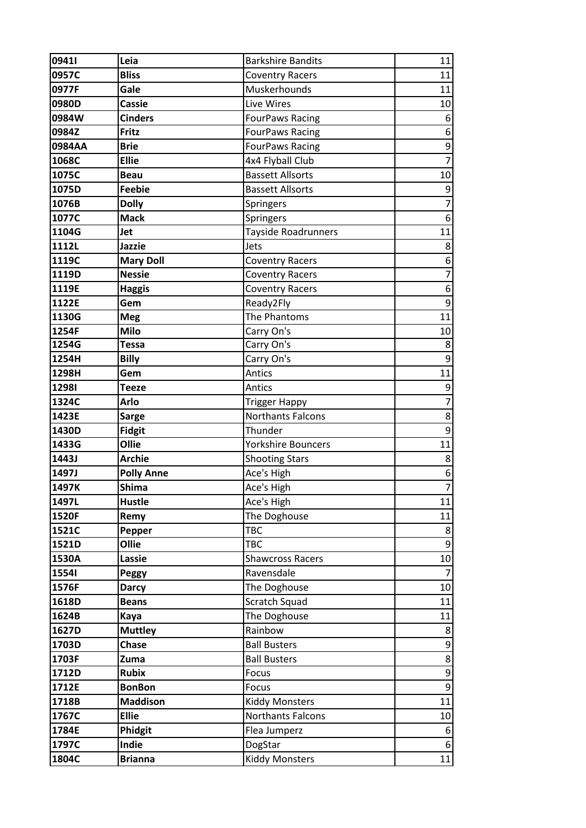| 09411        | Leia              | <b>Barkshire Bandits</b>  | 11               |
|--------------|-------------------|---------------------------|------------------|
| 0957C        | <b>Bliss</b>      | <b>Coventry Racers</b>    | 11               |
| 0977F        | Gale              | Muskerhounds              | 11               |
| 0980D        | <b>Cassie</b>     | Live Wires                | 10               |
| 0984W        | <b>Cinders</b>    | <b>FourPaws Racing</b>    | 6                |
| 0984Z        | Fritz             | <b>FourPaws Racing</b>    | 6                |
| 0984AA       | <b>Brie</b>       | <b>FourPaws Racing</b>    | $\boldsymbol{9}$ |
| 1068C        | <b>Ellie</b>      | 4x4 Flyball Club          | $\overline{7}$   |
| 1075C        | <b>Beau</b>       | <b>Bassett Allsorts</b>   | 10               |
| 1075D        | <b>Feebie</b>     | <b>Bassett Allsorts</b>   | 9                |
| 1076B        | <b>Dolly</b>      | Springers                 | $\overline{7}$   |
| 1077C        | <b>Mack</b>       | <b>Springers</b>          | $\boldsymbol{6}$ |
| 1104G        | Jet               | Tayside Roadrunners       | 11               |
| 1112L        | Jazzie            | Jets                      | 8                |
| 1119C        | <b>Mary Doll</b>  | <b>Coventry Racers</b>    | 6                |
| 1119D        | <b>Nessie</b>     | <b>Coventry Racers</b>    | $\overline{7}$   |
| 1119E        | <b>Haggis</b>     | <b>Coventry Racers</b>    | $\boldsymbol{6}$ |
| 1122E        | Gem               | Ready2Fly                 | $\boldsymbol{9}$ |
| 1130G        | <b>Meg</b>        | The Phantoms              | 11               |
| 1254F        | Milo              | Carry On's                | 10               |
| 1254G        | <b>Tessa</b>      | Carry On's                | 8                |
| 1254H        | <b>Billy</b>      | Carry On's                | $\mathsf g$      |
| 1298H        | Gem               | Antics                    | 11               |
| <b>12981</b> | <b>Teeze</b>      | Antics                    | 9                |
| 1324C        | Arlo              | <b>Trigger Happy</b>      | $\overline{7}$   |
| 1423E        | <b>Sarge</b>      | <b>Northants Falcons</b>  | $\bf 8$          |
| 1430D        | <b>Fidgit</b>     | Thunder                   | 9                |
| 1433G        | Ollie             | <b>Yorkshire Bouncers</b> | 11               |
| 1443J        | <b>Archie</b>     | <b>Shooting Stars</b>     | $\bf 8$          |
| 1497J        | <b>Polly Anne</b> | Ace's High                | $\boldsymbol{6}$ |
| 1497K        | <b>Shima</b>      | Ace's High                | $\overline{7}$   |
| 1497L        | <b>Hustle</b>     | Ace's High                | 11               |
| 1520F        | Remy              | The Doghouse              | 11               |
| 1521C        | Pepper            | <b>TBC</b>                | 8                |
| 1521D        | Ollie             | <b>TBC</b>                | 9                |
| 1530A        | Lassie            | <b>Shawcross Racers</b>   | 10               |
| 15541        | <b>Peggy</b>      | Ravensdale                |                  |
| 1576F        | <b>Darcy</b>      | The Doghouse              | 10               |
| 1618D        | <b>Beans</b>      | Scratch Squad             | 11               |
| 1624B        | Kaya              | The Doghouse              | 11               |
| 1627D        | <b>Muttley</b>    | Rainbow                   | 8                |
| 1703D        | <b>Chase</b>      | <b>Ball Busters</b>       | 9                |
| 1703F        | Zuma              | <b>Ball Busters</b>       | $\bf 8$          |
| 1712D        | <b>Rubix</b>      | Focus                     | 9                |
| 1712E        | <b>BonBon</b>     | Focus                     | $\mathsf 9$      |
| 1718B        | <b>Maddison</b>   | <b>Kiddy Monsters</b>     | 11               |
| 1767C        | <b>Ellie</b>      | Northants Falcons         | 10               |
| 1784E        | Phidgit           | Flea Jumperz              | 6                |
| 1797C        | Indie             | DogStar                   | $\boldsymbol{6}$ |
| 1804C        | <b>Brianna</b>    | <b>Kiddy Monsters</b>     | 11               |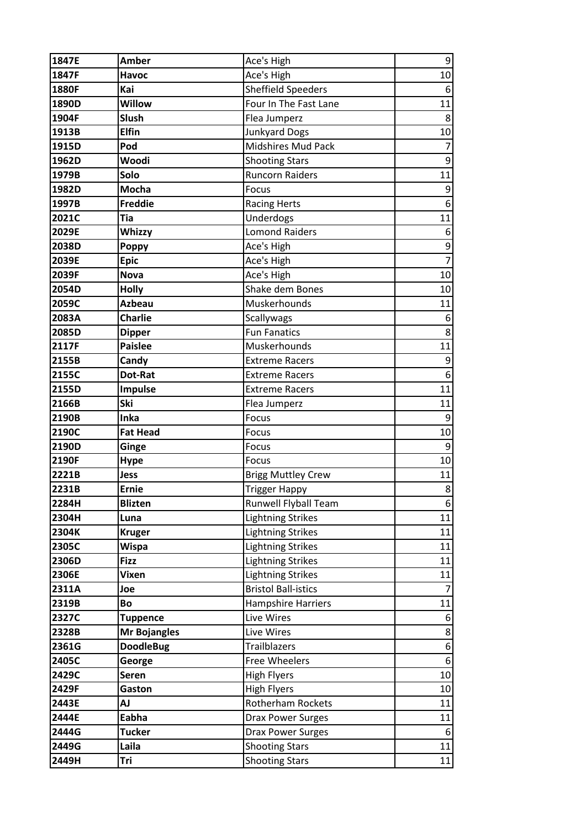| 1847E | <b>Amber</b>        | Ace's High                  | $\overline{9}$   |
|-------|---------------------|-----------------------------|------------------|
| 1847F | <b>Havoc</b>        | Ace's High                  | 10               |
| 1880F | Kai                 | <b>Sheffield Speeders</b>   | 6                |
| 1890D | <b>Willow</b>       | Four In The Fast Lane       | 11               |
| 1904F | Slush               | Flea Jumperz                | 8                |
| 1913B | <b>Elfin</b>        | <b>Junkyard Dogs</b>        | 10               |
| 1915D | Pod                 | Midshires Mud Pack          | $\overline{7}$   |
| 1962D | Woodi               | <b>Shooting Stars</b>       | 9                |
| 1979B | Solo                | <b>Runcorn Raiders</b>      | 11               |
| 1982D | <b>Mocha</b>        | Focus                       | 9                |
| 1997B | <b>Freddie</b>      | <b>Racing Herts</b>         | 6                |
| 2021C | <b>Tia</b>          | Underdogs                   | 11               |
| 2029E | Whizzy              | <b>Lomond Raiders</b>       | 6                |
| 2038D | <b>Poppy</b>        | Ace's High                  | $\mathsf 9$      |
| 2039E | <b>Epic</b>         | Ace's High                  | $\overline{7}$   |
| 2039F | <b>Nova</b>         | Ace's High                  | 10               |
| 2054D | <b>Holly</b>        | Shake dem Bones             | 10               |
| 2059C | <b>Azbeau</b>       | Muskerhounds                | 11               |
| 2083A | <b>Charlie</b>      | Scallywags                  | 6                |
| 2085D | <b>Dipper</b>       | <b>Fun Fanatics</b>         | 8                |
| 2117F | <b>Paislee</b>      | Muskerhounds                | 11               |
| 2155B | Candy               | <b>Extreme Racers</b>       | 9                |
| 2155C | Dot-Rat             | <b>Extreme Racers</b>       | 6                |
| 2155D | Impulse             | <b>Extreme Racers</b>       | 11               |
| 2166B | Ski                 | Flea Jumperz                | 11               |
| 2190B | Inka                | Focus                       | 9                |
| 2190C | <b>Fat Head</b>     | Focus                       | 10               |
| 2190D | Ginge               | Focus                       | 9                |
| 2190F | <b>Hype</b>         | Focus                       | 10               |
| 2221B | Jess                | <b>Brigg Muttley Crew</b>   | 11               |
| 2231B | <b>Ernie</b>        | <b>Trigger Happy</b>        | 8                |
| 2284H | <b>Blizten</b>      | <b>Runwell Flyball Team</b> | 6                |
| 2304H | Luna                | <b>Lightning Strikes</b>    | 11               |
| 2304K | <b>Kruger</b>       | <b>Lightning Strikes</b>    | 11               |
| 2305C | <b>Wispa</b>        | <b>Lightning Strikes</b>    | 11               |
| 2306D | <b>Fizz</b>         | <b>Lightning Strikes</b>    | 11               |
| 2306E | <b>Vixen</b>        | <b>Lightning Strikes</b>    | 11               |
| 2311A | Joe                 | <b>Bristol Ball-istics</b>  | $\overline{7}$   |
| 2319B | Bo                  | <b>Hampshire Harriers</b>   | 11               |
| 2327C | <b>Tuppence</b>     | Live Wires                  | 6                |
| 2328B | <b>Mr Bojangles</b> | Live Wires                  | $\bf 8$          |
| 2361G | <b>DoodleBug</b>    | <b>Trailblazers</b>         | $\boldsymbol{6}$ |
| 2405C | George              | <b>Free Wheelers</b>        | 6                |
| 2429C | Seren               | <b>High Flyers</b>          | 10               |
| 2429F | Gaston              | <b>High Flyers</b>          | 10               |
| 2443E | <b>AJ</b>           | Rotherham Rockets           | 11               |
| 2444E | Eabha               | <b>Drax Power Surges</b>    | 11               |
| 2444G | <b>Tucker</b>       | <b>Drax Power Surges</b>    | 6                |
| 2449G | Laila               | <b>Shooting Stars</b>       | 11               |
| 2449H | Tri                 | <b>Shooting Stars</b>       | 11               |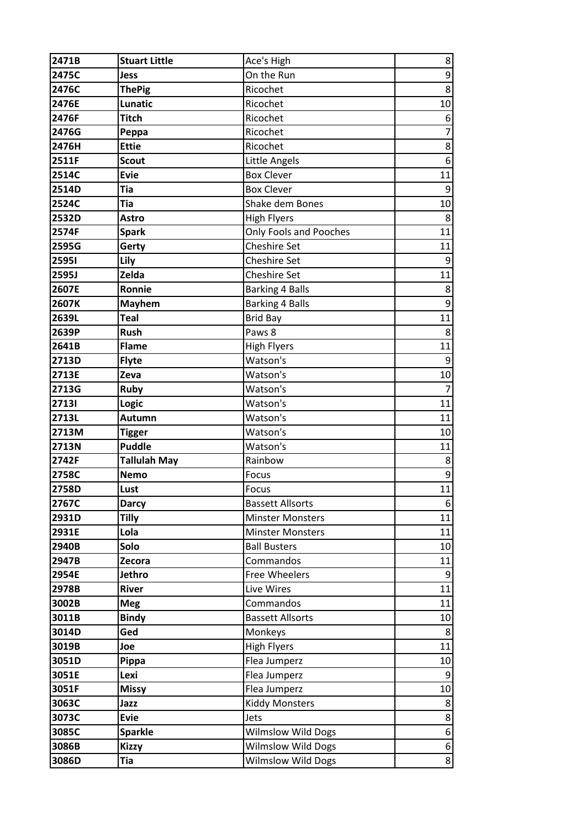| 2471B        | <b>Stuart Little</b> | Ace's High                    | 8                |
|--------------|----------------------|-------------------------------|------------------|
| 2475C        | <b>Jess</b>          | On the Run                    | $\boldsymbol{9}$ |
| 2476C        | <b>ThePig</b>        | Ricochet                      | $\bf 8$          |
| 2476E        | Lunatic              | Ricochet                      | 10               |
| 2476F        | <b>Titch</b>         | Ricochet                      | 6                |
| 2476G        | Peppa                | Ricochet                      | $\overline{7}$   |
| 2476H        | <b>Ettie</b>         | Ricochet                      | 8                |
| 2511F        | <b>Scout</b>         | Little Angels                 | $\boldsymbol{6}$ |
| 2514C        | <b>Evie</b>          | <b>Box Clever</b>             | 11               |
| 2514D        | <b>Tia</b>           | <b>Box Clever</b>             | 9                |
| 2524C        | <b>Tia</b>           | Shake dem Bones               | 10               |
| 2532D        | <b>Astro</b>         | <b>High Flyers</b>            | 8                |
| 2574F        | <b>Spark</b>         | <b>Only Fools and Pooches</b> | 11               |
| 2595G        | Gerty                | <b>Cheshire Set</b>           | 11               |
| <b>25951</b> | Lily                 | <b>Cheshire Set</b>           | 9                |
| 2595J        | Zelda                | <b>Cheshire Set</b>           | 11               |
| 2607E        | Ronnie               | <b>Barking 4 Balls</b>        | 8                |
| 2607K        | <b>Mayhem</b>        | <b>Barking 4 Balls</b>        | 9                |
| 2639L        | <b>Teal</b>          | <b>Brid Bay</b>               | 11               |
| 2639P        | <b>Rush</b>          | Paws 8                        | 8                |
| 2641B        | Flame                | <b>High Flyers</b>            | 11               |
| 2713D        | <b>Flyte</b>         | Watson's                      | 9                |
| 2713E        | Zeva                 | Watson's                      | 10               |
| 2713G        | <b>Ruby</b>          | Watson's                      | $\overline{7}$   |
| 27131        | Logic                | Watson's                      | 11               |
| 2713L        | Autumn               | Watson's                      | 11               |
| 2713M        | <b>Tigger</b>        | Watson's                      | 10               |
| 2713N        | <b>Puddle</b>        | Watson's                      | 11               |
| 2742F        | <b>Tallulah May</b>  | Rainbow                       | 8                |
| 2758C        | <b>Nemo</b>          | Focus                         | 9                |
| 2758D        | Lust                 | Focus                         | 11               |
| 2767C        | <b>Darcy</b>         | <b>Bassett Allsorts</b>       | 6                |
| 2931D        | <b>Tilly</b>         | <b>Minster Monsters</b>       | 11               |
| 2931E        | Lola                 | <b>Minster Monsters</b>       | 11               |
| 2940B        | Solo                 | <b>Ball Busters</b>           | 10               |
| 2947B        | Zecora               | Commandos                     | 11               |
| 2954E        | Jethro               | Free Wheelers                 | 9                |
| 2978B        | <b>River</b>         | Live Wires                    | 11               |
| 3002B        | <b>Meg</b>           | Commandos                     | 11               |
| 3011B        | <b>Bindy</b>         | <b>Bassett Allsorts</b>       | 10               |
| 3014D        | Ged                  | Monkeys                       | 8                |
| 3019B        | Joe                  | <b>High Flyers</b>            | 11               |
| 3051D        | Pippa                | Flea Jumperz                  | 10               |
| 3051E        | Lexi                 | Flea Jumperz                  | 9                |
| 3051F        | <b>Missy</b>         | Flea Jumperz                  | 10               |
| 3063C        | Jazz                 | <b>Kiddy Monsters</b>         | 8                |
| 3073C        | <b>Evie</b>          | Jets                          | $\bf 8$          |
| 3085C        | <b>Sparkle</b>       | <b>Wilmslow Wild Dogs</b>     | 6                |
| 3086B        | <b>Kizzy</b>         | <b>Wilmslow Wild Dogs</b>     | $\boldsymbol{6}$ |
| 3086D        | <b>Tia</b>           | <b>Wilmslow Wild Dogs</b>     | 8                |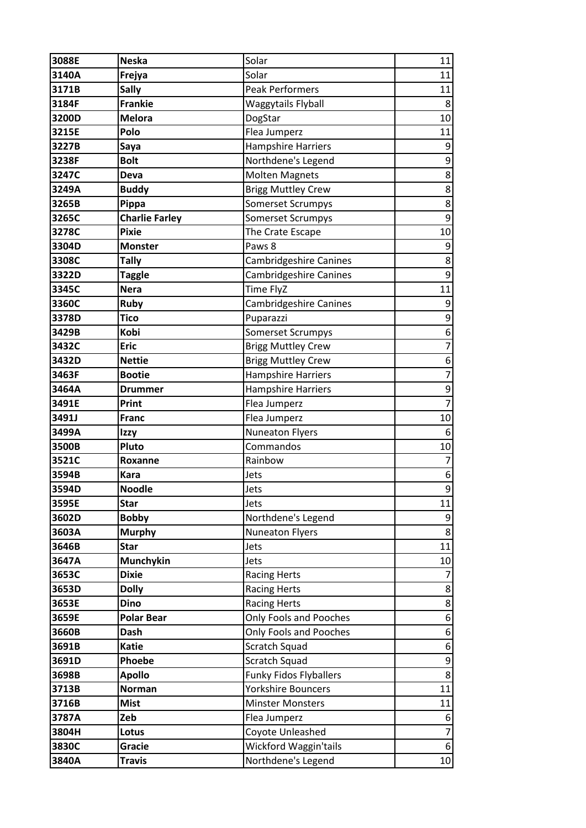| 3088E | <b>Neska</b>          | Solar                         | 11               |
|-------|-----------------------|-------------------------------|------------------|
| 3140A | Frejya                | Solar                         | 11               |
| 3171B | <b>Sally</b>          | <b>Peak Performers</b>        | 11               |
| 3184F | <b>Frankie</b>        | Waggytails Flyball            | 8                |
| 3200D | <b>Melora</b>         | DogStar                       | 10               |
| 3215E | Polo                  | Flea Jumperz                  | 11               |
| 3227B | Saya                  | Hampshire Harriers            | 9                |
| 3238F | <b>Bolt</b>           | Northdene's Legend            | 9                |
| 3247C | Deva                  | <b>Molten Magnets</b>         | 8                |
| 3249A | <b>Buddy</b>          | <b>Brigg Muttley Crew</b>     | 8                |
| 3265B | Pippa                 | <b>Somerset Scrumpys</b>      | $\bf 8$          |
| 3265C | <b>Charlie Farley</b> | <b>Somerset Scrumpys</b>      | 9                |
| 3278C | <b>Pixie</b>          | The Crate Escape              | 10               |
| 3304D | <b>Monster</b>        | Paws 8                        | 9                |
| 3308C | <b>Tally</b>          | Cambridgeshire Canines        | 8                |
| 3322D | <b>Taggle</b>         | Cambridgeshire Canines        | 9                |
| 3345C | <b>Nera</b>           | Time FlyZ                     | 11               |
| 3360C | <b>Ruby</b>           | Cambridgeshire Canines        | 9                |
| 3378D | <b>Tico</b>           | Puparazzi                     | 9                |
| 3429B | Kobi                  | <b>Somerset Scrumpys</b>      | 6                |
| 3432C | <b>Eric</b>           | <b>Brigg Muttley Crew</b>     | $\overline{7}$   |
| 3432D | <b>Nettie</b>         | <b>Brigg Muttley Crew</b>     | 6                |
| 3463F | <b>Bootie</b>         | <b>Hampshire Harriers</b>     | $\overline{7}$   |
| 3464A | <b>Drummer</b>        | <b>Hampshire Harriers</b>     | 9                |
| 3491E | Print                 | Flea Jumperz                  | $\overline{7}$   |
| 3491J | <b>Franc</b>          | Flea Jumperz                  | 10               |
| 3499A | Izzy                  | <b>Nuneaton Flyers</b>        | 6                |
| 3500B | Pluto                 | Commandos                     | 10               |
| 3521C | Roxanne               | Rainbow                       | $\overline{7}$   |
| 3594B | <b>Kara</b>           | Jets                          | $\boldsymbol{6}$ |
| 3594D | <b>Noodle</b>         | Jets                          | 9                |
| 3595E | <b>Star</b>           | Jets                          | 11               |
| 3602D | <b>Bobby</b>          | Northdene's Legend            | 9                |
| 3603A | <b>Murphy</b>         | <b>Nuneaton Flyers</b>        | 8                |
| 3646B | <b>Star</b>           | Jets                          | 11               |
| 3647A | Munchykin             | Jets                          | 10               |
| 3653C | <b>Dixie</b>          | <b>Racing Herts</b>           | 7                |
| 3653D | <b>Dolly</b>          | <b>Racing Herts</b>           | 8                |
| 3653E | <b>Dino</b>           | <b>Racing Herts</b>           | 8                |
| 3659E | <b>Polar Bear</b>     | Only Fools and Pooches        | 6                |
| 3660B | <b>Dash</b>           | <b>Only Fools and Pooches</b> | 6                |
| 3691B | <b>Katie</b>          | Scratch Squad                 | $\boldsymbol{6}$ |
| 3691D | Phoebe                | Scratch Squad                 | 9                |
| 3698B | <b>Apollo</b>         | <b>Funky Fidos Flyballers</b> | 8                |
| 3713B | <b>Norman</b>         | Yorkshire Bouncers            | 11               |
| 3716B | <b>Mist</b>           | <b>Minster Monsters</b>       | 11               |
| 3787A | Zeb                   | Flea Jumperz                  | 6                |
| 3804H | Lotus                 | Coyote Unleashed              | $\overline{7}$   |
| 3830C | Gracie                | Wickford Waggin'tails         | $\boldsymbol{6}$ |
| 3840A | <b>Travis</b>         | Northdene's Legend            | 10 <sup>1</sup>  |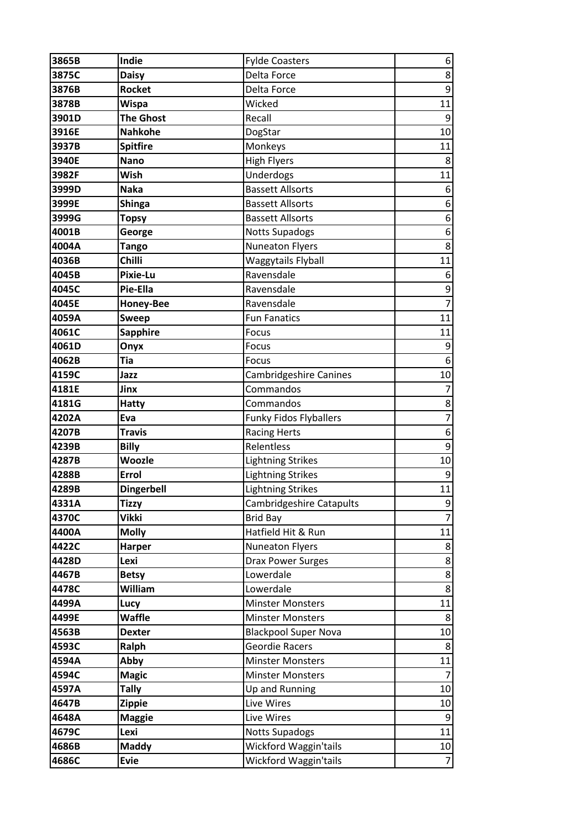| 3865B | Indie             | <b>Fylde Coasters</b>           | 6                |
|-------|-------------------|---------------------------------|------------------|
| 3875C | <b>Daisy</b>      | Delta Force                     | $\bf 8$          |
| 3876B | <b>Rocket</b>     | Delta Force                     | $\boldsymbol{9}$ |
| 3878B | <b>Wispa</b>      | Wicked                          | 11               |
| 3901D | <b>The Ghost</b>  | Recall                          | 9                |
| 3916E | <b>Nahkohe</b>    | DogStar                         | 10               |
| 3937B | <b>Spitfire</b>   | Monkeys                         | 11               |
| 3940E | <b>Nano</b>       | <b>High Flyers</b>              | 8                |
| 3982F | Wish              | Underdogs                       | 11               |
| 3999D | <b>Naka</b>       | <b>Bassett Allsorts</b>         | 6                |
| 3999E | <b>Shinga</b>     | <b>Bassett Allsorts</b>         | 6                |
| 3999G | <b>Topsy</b>      | <b>Bassett Allsorts</b>         | 6                |
| 4001B | George            | <b>Notts Supadogs</b>           | 6                |
| 4004A | <b>Tango</b>      | <b>Nuneaton Flyers</b>          | 8                |
| 4036B | <b>Chilli</b>     | Waggytails Flyball              | 11               |
| 4045B | <b>Pixie-Lu</b>   | Ravensdale                      | 6                |
| 4045C | Pie-Ella          | Ravensdale                      | 9                |
| 4045E | <b>Honey-Bee</b>  | Ravensdale                      | $\overline{7}$   |
| 4059A | <b>Sweep</b>      | <b>Fun Fanatics</b>             | 11               |
| 4061C | <b>Sapphire</b>   | Focus                           | 11               |
| 4061D | Onyx              | Focus                           | $\boldsymbol{9}$ |
| 4062B | <b>Tia</b>        | Focus                           | 6                |
| 4159C | Jazz              | <b>Cambridgeshire Canines</b>   | 10               |
| 4181E | Jinx              | Commandos                       | 7                |
| 4181G | <b>Hatty</b>      | Commandos                       | 8                |
| 4202A | Eva               | <b>Funky Fidos Flyballers</b>   | $\overline{7}$   |
| 4207B | <b>Travis</b>     | <b>Racing Herts</b>             | 6                |
| 4239B | <b>Billy</b>      | Relentless                      | $\boldsymbol{9}$ |
| 4287B | <b>Woozle</b>     | <b>Lightning Strikes</b>        | 10               |
| 4288B | Errol             | <b>Lightning Strikes</b>        | 9                |
| 4289B | <b>Dingerbell</b> | <b>Lightning Strikes</b>        | 11               |
| 4331A | <b>Tizzy</b>      | <b>Cambridgeshire Catapults</b> | 9                |
| 4370C | <b>Vikki</b>      | <b>Brid Bay</b>                 | $\overline{7}$   |
| 4400A | <b>Molly</b>      | Hatfield Hit & Run              | 11               |
| 4422C | Harper            | <b>Nuneaton Flyers</b>          | 8                |
| 4428D | Lexi              | <b>Drax Power Surges</b>        | 8                |
| 4467B | <b>Betsy</b>      | Lowerdale                       | 8                |
| 4478C | William           | Lowerdale                       | 8                |
| 4499A | Lucy              | <b>Minster Monsters</b>         | 11               |
| 4499E | <b>Waffle</b>     | <b>Minster Monsters</b>         | 8                |
| 4563B | <b>Dexter</b>     | <b>Blackpool Super Nova</b>     | 10               |
| 4593C | Ralph             | Geordie Racers                  | 8                |
| 4594A | Abby              | <b>Minster Monsters</b>         | 11               |
| 4594C | <b>Magic</b>      | <b>Minster Monsters</b>         | 7                |
| 4597A | <b>Tally</b>      | Up and Running                  | 10               |
| 4647B | <b>Zippie</b>     | Live Wires                      | 10               |
| 4648A | <b>Maggie</b>     | Live Wires                      | 9                |
| 4679C | Lexi              | <b>Notts Supadogs</b>           | 11               |
| 4686B | <b>Maddy</b>      | Wickford Waggin'tails           | 10               |
| 4686C | <b>Evie</b>       | Wickford Waggin'tails           | $\overline{7}$   |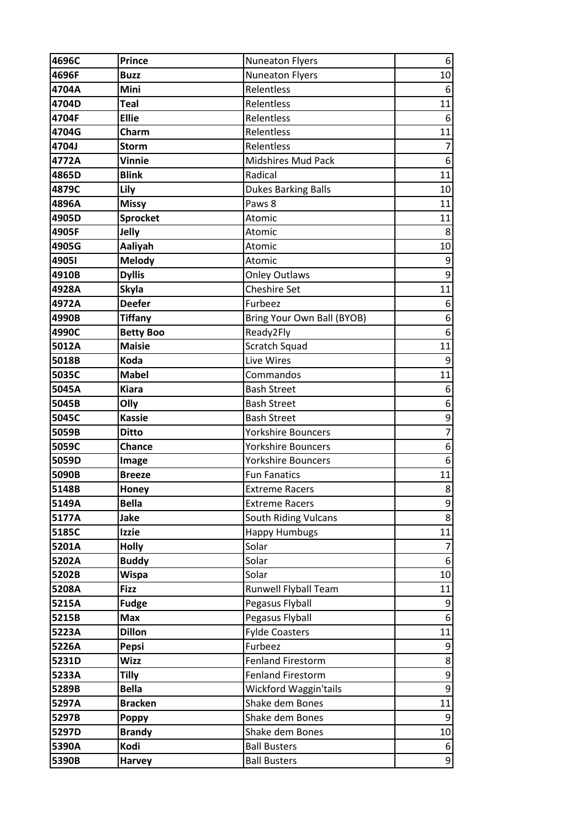| 4696C | <b>Prince</b>    | <b>Nuneaton Flyers</b>      | 6                |
|-------|------------------|-----------------------------|------------------|
| 4696F | <b>Buzz</b>      | <b>Nuneaton Flyers</b>      | 10               |
| 4704A | Mini             | Relentless                  | 6                |
| 4704D | <b>Teal</b>      | Relentless                  | 11               |
| 4704F | <b>Ellie</b>     | Relentless                  | 6                |
| 4704G | Charm            | Relentless                  | 11               |
| 4704J | <b>Storm</b>     | Relentless                  | $\overline{7}$   |
| 4772A | <b>Vinnie</b>    | Midshires Mud Pack          | 6                |
| 4865D | <b>Blink</b>     | Radical                     | 11               |
| 4879C | Lily             | <b>Dukes Barking Balls</b>  | 10               |
| 4896A | <b>Missy</b>     | Paws 8                      | 11               |
| 4905D | <b>Sprocket</b>  | Atomic                      | 11               |
| 4905F | Jelly            | Atomic                      | 8                |
| 4905G | Aaliyah          | Atomic                      | 10               |
| 4905I | <b>Melody</b>    | Atomic                      | 9                |
| 4910B | <b>Dyllis</b>    | <b>Onley Outlaws</b>        | 9                |
| 4928A | <b>Skyla</b>     | <b>Cheshire Set</b>         | 11               |
| 4972A | <b>Deefer</b>    | Furbeez                     | 6                |
| 4990B | <b>Tiffany</b>   | Bring Your Own Ball (BYOB)  | 6                |
| 4990C | <b>Betty Boo</b> | Ready2Fly                   | 6                |
| 5012A | <b>Maisie</b>    | Scratch Squad               | 11               |
| 5018B | Koda             | Live Wires                  | 9                |
| 5035C | <b>Mabel</b>     | Commandos                   | 11               |
| 5045A | <b>Kiara</b>     | <b>Bash Street</b>          | 6                |
| 5045B | Olly             | <b>Bash Street</b>          | 6                |
| 5045C | <b>Kassie</b>    | <b>Bash Street</b>          | 9                |
| 5059B | <b>Ditto</b>     | <b>Yorkshire Bouncers</b>   | $\overline{7}$   |
| 5059C | Chance           | Yorkshire Bouncers          | $\boldsymbol{6}$ |
| 5059D | Image            | <b>Yorkshire Bouncers</b>   | 6                |
| 5090B | <b>Breeze</b>    | <b>Fun Fanatics</b>         | 11               |
| 5148B | Honey            | <b>Extreme Racers</b>       | 8                |
| 5149A | <b>Bella</b>     | <b>Extreme Racers</b>       | 9                |
| 5177A | Jake             | <b>South Riding Vulcans</b> | 8                |
| 5185C | <b>Izzie</b>     | <b>Happy Humbugs</b>        | 11               |
| 5201A | <b>Holly</b>     | Solar                       | 7                |
| 5202A | <b>Buddy</b>     | Solar                       | 6                |
| 5202B | <b>Wispa</b>     | Solar                       | 10               |
| 5208A | <b>Fizz</b>      | Runwell Flyball Team        | 11               |
| 5215A | <b>Fudge</b>     | Pegasus Flyball             | 9                |
| 5215B | <b>Max</b>       | Pegasus Flyball             | 6                |
| 5223A | <b>Dillon</b>    | <b>Fylde Coasters</b>       | 11               |
| 5226A | Pepsi            | Furbeez                     | 9                |
| 5231D | <b>Wizz</b>      | <b>Fenland Firestorm</b>    | 8                |
| 5233A | <b>Tilly</b>     | <b>Fenland Firestorm</b>    | 9                |
| 5289B | <b>Bella</b>     | Wickford Waggin'tails       | 9                |
| 5297A | <b>Bracken</b>   | Shake dem Bones             | 11               |
| 5297B | <b>Poppy</b>     | Shake dem Bones             | 9                |
| 5297D | <b>Brandy</b>    | Shake dem Bones             | 10               |
| 5390A | Kodi             | <b>Ball Busters</b>         | 6                |
| 5390B | <b>Harvey</b>    | <b>Ball Busters</b>         | 9                |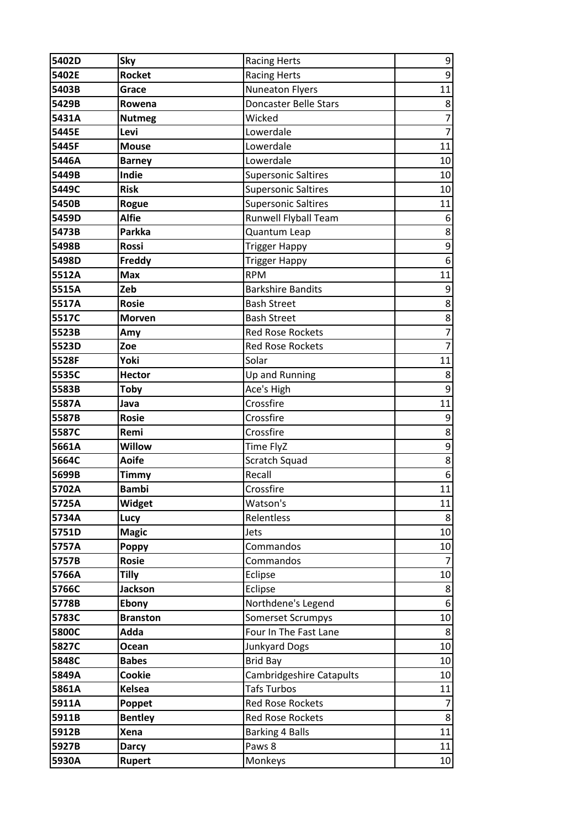| 5402D | Sky             | <b>Racing Herts</b>        | $\boldsymbol{9}$ |
|-------|-----------------|----------------------------|------------------|
| 5402E | <b>Rocket</b>   | <b>Racing Herts</b>        | $\boldsymbol{9}$ |
| 5403B | Grace           | <b>Nuneaton Flyers</b>     | 11               |
| 5429B | Rowena          | Doncaster Belle Stars      | 8                |
| 5431A | <b>Nutmeg</b>   | Wicked                     | $\overline{7}$   |
| 5445E | Levi            | Lowerdale                  | $\overline{7}$   |
| 5445F | <b>Mouse</b>    | Lowerdale                  | 11               |
| 5446A | <b>Barney</b>   | Lowerdale                  | 10               |
| 5449B | Indie           | <b>Supersonic Saltires</b> | 10               |
| 5449C | <b>Risk</b>     | <b>Supersonic Saltires</b> | 10               |
| 5450B | Rogue           | <b>Supersonic Saltires</b> | 11               |
| 5459D | <b>Alfie</b>    | Runwell Flyball Team       | 6                |
| 5473B | <b>Parkka</b>   | Quantum Leap               | 8                |
| 5498B | Rossi           | <b>Trigger Happy</b>       | $\mathsf 9$      |
| 5498D | Freddy          | <b>Trigger Happy</b>       | 6                |
| 5512A | <b>Max</b>      | <b>RPM</b>                 | 11               |
| 5515A | Zeb             | <b>Barkshire Bandits</b>   | 9                |
| 5517A | <b>Rosie</b>    | <b>Bash Street</b>         | 8                |
| 5517C | <b>Morven</b>   | <b>Bash Street</b>         | 8                |
| 5523B | Amy             | <b>Red Rose Rockets</b>    | $\overline{7}$   |
| 5523D | Zoe             | <b>Red Rose Rockets</b>    | $\overline{7}$   |
| 5528F | Yoki            | Solar                      | 11               |
| 5535C | <b>Hector</b>   | Up and Running             | 8                |
| 5583B | Toby            | Ace's High                 | 9                |
| 5587A | Java            | Crossfire                  | 11               |
| 5587B | <b>Rosie</b>    | Crossfire                  | $\boldsymbol{9}$ |
| 5587C | Remi            | Crossfire                  | 8                |
| 5661A | <b>Willow</b>   | Time FlyZ                  | $\mathsf 9$      |
| 5664C | <b>Aoife</b>    | Scratch Squad              | 8                |
| 5699B | <b>Timmy</b>    | Recall                     | 6                |
| 5702A | <b>Bambi</b>    | Crossfire                  | 11               |
| 5725A | Widget          | Watson's                   | 11               |
| 5734A | Lucy            | Relentless                 | 8                |
| 5751D | <b>Magic</b>    | Jets                       | 10               |
| 5757A | <b>Poppy</b>    | Commandos                  | 10               |
| 5757B | <b>Rosie</b>    | Commandos                  | $\overline{7}$   |
| 5766A | Tilly           | Eclipse                    | 10               |
| 5766C | <b>Jackson</b>  | Eclipse                    | 8                |
| 5778B | Ebony           | Northdene's Legend         | 6                |
| 5783C | <b>Branston</b> | <b>Somerset Scrumpys</b>   | 10               |
| 5800C | Adda            | Four In The Fast Lane      | 8                |
| 5827C | Ocean           | <b>Junkyard Dogs</b>       | 10               |
| 5848C | <b>Babes</b>    | <b>Brid Bay</b>            | 10               |
| 5849A | Cookie          | Cambridgeshire Catapults   | 10               |
| 5861A | Kelsea          | <b>Tafs Turbos</b>         | 11               |
| 5911A | Poppet          | <b>Red Rose Rockets</b>    | 7                |
| 5911B | <b>Bentley</b>  | <b>Red Rose Rockets</b>    | 8                |
| 5912B | <b>Xena</b>     | <b>Barking 4 Balls</b>     | 11               |
| 5927B | <b>Darcy</b>    | Paws 8                     | 11               |
| 5930A | <b>Rupert</b>   | Monkeys                    | 10 <sup>1</sup>  |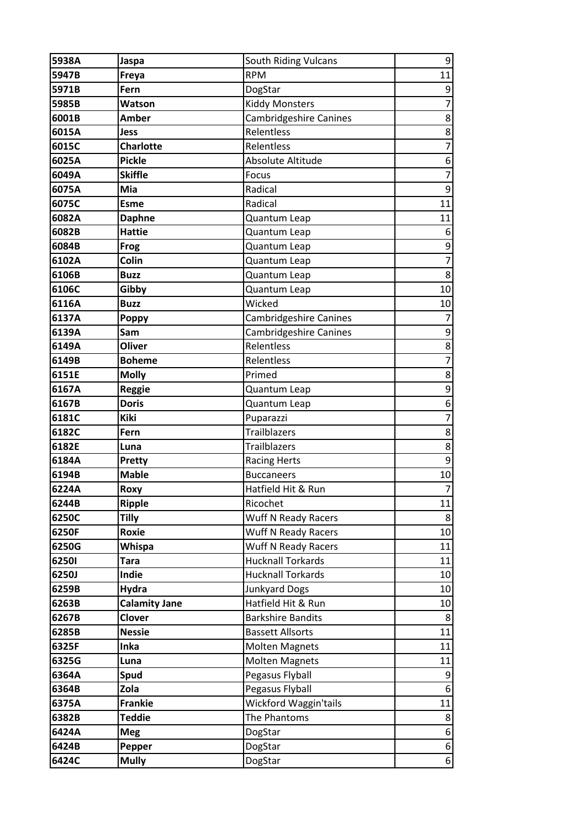| 5938A | Jaspa                | South Riding Vulcans          | 9                        |
|-------|----------------------|-------------------------------|--------------------------|
| 5947B | Freya                | <b>RPM</b>                    | 11                       |
| 5971B | Fern                 | DogStar                       | 9                        |
| 5985B | <b>Watson</b>        | <b>Kiddy Monsters</b>         | $\overline{7}$           |
| 6001B | <b>Amber</b>         | <b>Cambridgeshire Canines</b> | 8                        |
| 6015A | Jess                 | Relentless                    | 8                        |
| 6015C | <b>Charlotte</b>     | Relentless                    | $\overline{7}$           |
| 6025A | <b>Pickle</b>        | Absolute Altitude             | 6                        |
| 6049A | <b>Skiffle</b>       | Focus                         | $\overline{7}$           |
| 6075A | Mia                  | Radical                       | 9                        |
| 6075C | <b>Esme</b>          | Radical                       | 11                       |
| 6082A | <b>Daphne</b>        | Quantum Leap                  | 11                       |
| 6082B | <b>Hattie</b>        | Quantum Leap                  | 6                        |
| 6084B | Frog                 | Quantum Leap                  | $\mathsf 9$              |
| 6102A | Colin                | Quantum Leap                  | $\overline{7}$           |
| 6106B | <b>Buzz</b>          | Quantum Leap                  | 8                        |
| 6106C | Gibby                | Quantum Leap                  | 10                       |
| 6116A | <b>Buzz</b>          | Wicked                        | 10                       |
| 6137A | <b>Poppy</b>         | Cambridgeshire Canines        | 7                        |
| 6139A | Sam                  | Cambridgeshire Canines        | 9                        |
| 6149A | Oliver               | Relentless                    | 8                        |
| 6149B | <b>Boheme</b>        | Relentless                    | $\overline{\mathcal{I}}$ |
| 6151E | <b>Molly</b>         | Primed                        | 8                        |
| 6167A | <b>Reggie</b>        | Quantum Leap                  | 9                        |
| 6167B | <b>Doris</b>         | Quantum Leap                  | 6                        |
| 6181C | <b>Kiki</b>          | Puparazzi                     | $\overline{7}$           |
| 6182C | Fern                 | <b>Trailblazers</b>           | 8                        |
| 6182E | Luna                 | Trailblazers                  | 8                        |
| 6184A | <b>Pretty</b>        | <b>Racing Herts</b>           | 9                        |
| 6194B | <b>Mable</b>         | <b>Buccaneers</b>             | 10                       |
| 6224A | Roxy                 | Hatfield Hit & Run            | $\overline{7}$           |
| 6244B | <b>Ripple</b>        | Ricochet                      | 11                       |
| 6250C | Tilly                | Wuff N Ready Racers           | 8                        |
| 6250F | Roxie                | Wuff N Ready Racers           | 10                       |
| 6250G | <b>Whispa</b>        | <b>Wuff N Ready Racers</b>    | 11                       |
| 62501 | <b>Tara</b>          | <b>Hucknall Torkards</b>      | 11                       |
| 6250J | Indie                | <b>Hucknall Torkards</b>      | 10                       |
| 6259B | Hydra                | <b>Junkyard Dogs</b>          | 10                       |
| 6263B | <b>Calamity Jane</b> | Hatfield Hit & Run            | 10                       |
| 6267B | Clover               | <b>Barkshire Bandits</b>      | 8                        |
| 6285B | <b>Nessie</b>        | <b>Bassett Allsorts</b>       | 11                       |
| 6325F | Inka                 | <b>Molten Magnets</b>         | 11                       |
| 6325G | Luna                 | <b>Molten Magnets</b>         | 11                       |
| 6364A | Spud                 | Pegasus Flyball               | 9                        |
| 6364B | Zola                 | Pegasus Flyball               | 6                        |
| 6375A | <b>Frankie</b>       | Wickford Waggin'tails         | 11                       |
| 6382B | <b>Teddie</b>        | The Phantoms                  | 8                        |
| 6424A | <b>Meg</b>           | DogStar                       | 6                        |
| 6424B | Pepper               | DogStar                       | $\boldsymbol{6}$         |
| 6424C | <b>Mully</b>         | DogStar                       | 6                        |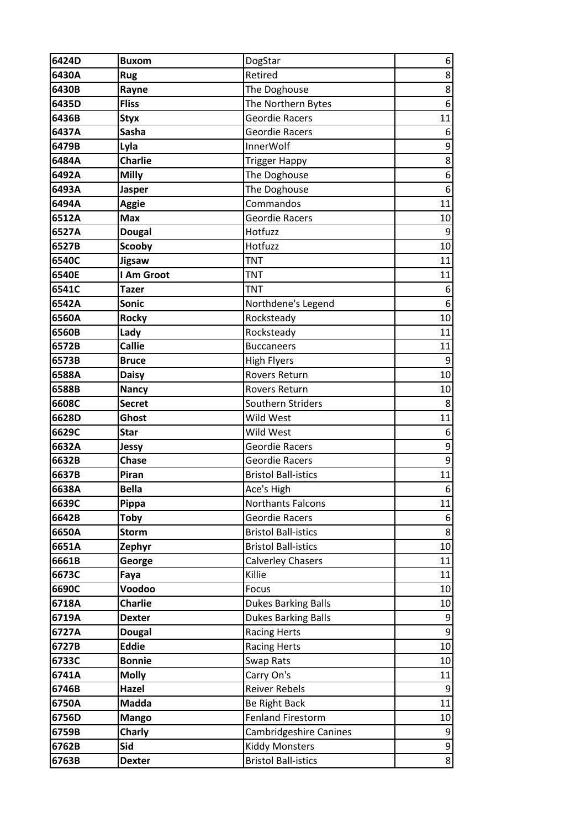| 6424D | <b>Buxom</b>   | DogStar                       | 6                |
|-------|----------------|-------------------------------|------------------|
| 6430A | <b>Rug</b>     | Retired                       | 8                |
| 6430B | Rayne          | The Doghouse                  | 8                |
| 6435D | <b>Fliss</b>   | The Northern Bytes            | 6                |
| 6436B | <b>Styx</b>    | <b>Geordie Racers</b>         | 11               |
| 6437A | Sasha          | <b>Geordie Racers</b>         | 6                |
| 6479B | Lyla           | <b>InnerWolf</b>              | 9                |
| 6484A | <b>Charlie</b> | <b>Trigger Happy</b>          | 8                |
| 6492A | <b>Milly</b>   | The Doghouse                  | $\boldsymbol{6}$ |
| 6493A | <b>Jasper</b>  | The Doghouse                  | 6                |
| 6494A | <b>Aggie</b>   | Commandos                     | 11               |
| 6512A | <b>Max</b>     | <b>Geordie Racers</b>         | 10               |
| 6527A | <b>Dougal</b>  | Hotfuzz                       | 9                |
| 6527B | <b>Scooby</b>  | Hotfuzz                       | 10               |
| 6540C | <b>Jigsaw</b>  | <b>TNT</b>                    | 11               |
| 6540E | I Am Groot     | <b>TNT</b>                    | 11               |
| 6541C | <b>Tazer</b>   | <b>TNT</b>                    | 6                |
| 6542A | <b>Sonic</b>   | Northdene's Legend            | 6                |
| 6560A | <b>Rocky</b>   | Rocksteady                    | 10               |
| 6560B | Lady           | Rocksteady                    | 11               |
| 6572B | <b>Callie</b>  | <b>Buccaneers</b>             | 11               |
| 6573B | <b>Bruce</b>   | <b>High Flyers</b>            | 9                |
| 6588A | <b>Daisy</b>   | Rovers Return                 | 10               |
| 6588B | <b>Nancy</b>   | Rovers Return                 | 10               |
| 6608C | <b>Secret</b>  | Southern Striders             | 8                |
| 6628D | Ghost          | Wild West                     | 11               |
| 6629C | <b>Star</b>    | Wild West                     | 6                |
| 6632A | <b>Jessy</b>   | <b>Geordie Racers</b>         | $\mathsf 9$      |
| 6632B | <b>Chase</b>   | <b>Geordie Racers</b>         | $\mathsf 9$      |
| 6637B | Piran          | <b>Bristol Ball-istics</b>    | 11               |
| 6638A | <b>Bella</b>   | Ace's High                    | 6                |
| 6639C | Pippa          | <b>Northants Falcons</b>      | 11               |
| 6642B | <b>Toby</b>    | Geordie Racers                | 6                |
| 6650A | <b>Storm</b>   | <b>Bristol Ball-istics</b>    | 8                |
| 6651A | Zephyr         | <b>Bristol Ball-istics</b>    | 10               |
| 6661B | George         | <b>Calverley Chasers</b>      | 11               |
| 6673C | Faya           | Killie                        | 11               |
| 6690C | Voodoo         | Focus                         | 10               |
| 6718A | <b>Charlie</b> | <b>Dukes Barking Balls</b>    | 10               |
| 6719A | <b>Dexter</b>  | <b>Dukes Barking Balls</b>    | 9                |
| 6727A | <b>Dougal</b>  | <b>Racing Herts</b>           | 9                |
| 6727B | <b>Eddie</b>   | <b>Racing Herts</b>           | 10               |
| 6733C | <b>Bonnie</b>  | Swap Rats                     | 10               |
| 6741A | <b>Molly</b>   | Carry On's                    | 11               |
| 6746B | Hazel          | <b>Reiver Rebels</b>          | 9                |
| 6750A | Madda          | Be Right Back                 | 11               |
| 6756D | <b>Mango</b>   | <b>Fenland Firestorm</b>      | 10               |
| 6759B | <b>Charly</b>  | <b>Cambridgeshire Canines</b> | 9                |
| 6762B | Sid            | <b>Kiddy Monsters</b>         | $\boldsymbol{9}$ |
| 6763B | <b>Dexter</b>  | <b>Bristol Ball-istics</b>    | 8 <sup>1</sup>   |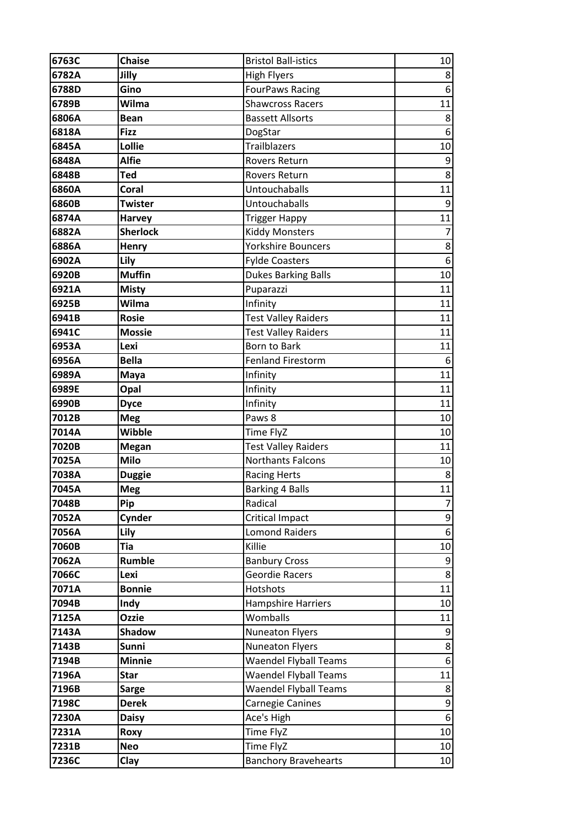| 6763C | <b>Chaise</b>   | <b>Bristol Ball-istics</b>   | 10 <sup>1</sup>  |
|-------|-----------------|------------------------------|------------------|
| 6782A | Jilly           | <b>High Flyers</b>           | 8                |
| 6788D | Gino            | <b>FourPaws Racing</b>       | $\boldsymbol{6}$ |
| 6789B | Wilma           | <b>Shawcross Racers</b>      | 11               |
| 6806A | <b>Bean</b>     | <b>Bassett Allsorts</b>      | 8                |
| 6818A | <b>Fizz</b>     | DogStar                      | 6                |
| 6845A | Lollie          | Trailblazers                 | 10               |
| 6848A | <b>Alfie</b>    | <b>Rovers Return</b>         | 9                |
| 6848B | <b>Ted</b>      | <b>Rovers Return</b>         | 8                |
| 6860A | Coral           | Untouchaballs                | 11               |
| 6860B | <b>Twister</b>  | Untouchaballs                | 9                |
| 6874A | <b>Harvey</b>   | <b>Trigger Happy</b>         | 11               |
| 6882A | <b>Sherlock</b> | <b>Kiddy Monsters</b>        | 7                |
| 6886A | <b>Henry</b>    | <b>Yorkshire Bouncers</b>    | 8                |
| 6902A | Lily            | <b>Fylde Coasters</b>        | $\boldsymbol{6}$ |
| 6920B | <b>Muffin</b>   | <b>Dukes Barking Balls</b>   | 10               |
| 6921A | <b>Misty</b>    | Puparazzi                    | 11               |
| 6925B | Wilma           | Infinity                     | 11               |
| 6941B | <b>Rosie</b>    | <b>Test Valley Raiders</b>   | 11               |
| 6941C | <b>Mossie</b>   | <b>Test Valley Raiders</b>   | 11               |
| 6953A | Lexi            | Born to Bark                 | 11               |
| 6956A | <b>Bella</b>    | <b>Fenland Firestorm</b>     | 6                |
| 6989A | Maya            | Infinity                     | 11               |
| 6989E | Opal            | Infinity                     | 11               |
| 6990B | <b>Dyce</b>     | Infinity                     | 11               |
| 7012B | <b>Meg</b>      | Paws 8                       | 10               |
| 7014A | <b>Wibble</b>   | Time FlyZ                    | 10               |
| 7020B | <b>Megan</b>    | <b>Test Valley Raiders</b>   | 11               |
| 7025A | Milo            | <b>Northants Falcons</b>     | 10               |
| 7038A | <b>Duggie</b>   | <b>Racing Herts</b>          | 8                |
| 7045A | Meg             | <b>Barking 4 Balls</b>       | 11               |
| 7048B | Pip             | Radical                      | 7                |
| 7052A | Cynder          | <b>Critical Impact</b>       | $\boldsymbol{9}$ |
| 7056A | Lily            | <b>Lomond Raiders</b>        | $\boldsymbol{6}$ |
| 7060B | <b>Tia</b>      | Killie                       | 10               |
| 7062A | <b>Rumble</b>   | <b>Banbury Cross</b>         | 9                |
| 7066C | Lexi            | <b>Geordie Racers</b>        | 8                |
| 7071A | <b>Bonnie</b>   | Hotshots                     | 11               |
| 7094B | Indy            | <b>Hampshire Harriers</b>    | 10               |
| 7125A | <b>Ozzie</b>    | Womballs                     | 11               |
| 7143A | <b>Shadow</b>   | <b>Nuneaton Flyers</b>       | 9                |
| 7143B | Sunni           | <b>Nuneaton Flyers</b>       | $\bf 8$          |
| 7194B | <b>Minnie</b>   | <b>Waendel Flyball Teams</b> | 6                |
| 7196A | <b>Star</b>     | <b>Waendel Flyball Teams</b> | 11               |
| 7196B | <b>Sarge</b>    | <b>Waendel Flyball Teams</b> | 8                |
| 7198C | <b>Derek</b>    | <b>Carnegie Canines</b>      | 9                |
| 7230A | <b>Daisy</b>    | Ace's High                   | 6                |
| 7231A | Roxy            | Time FlyZ                    | 10               |
| 7231B | <b>Neo</b>      | Time FlyZ                    | 10               |
| 7236C | Clay            | <b>Banchory Bravehearts</b>  | 10               |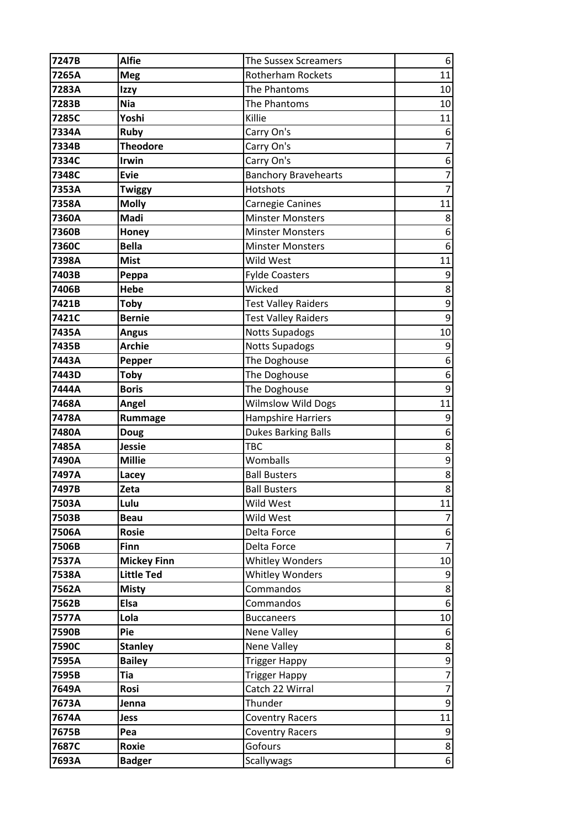| 7247B | <b>Alfie</b>       | <b>The Sussex Screamers</b> | 6              |
|-------|--------------------|-----------------------------|----------------|
| 7265A | <b>Meg</b>         | <b>Rotherham Rockets</b>    | 11             |
| 7283A | Izzy               | The Phantoms                | 10             |
| 7283B | <b>Nia</b>         | The Phantoms                | 10             |
| 7285C | Yoshi              | Killie                      | 11             |
| 7334A | Ruby               | Carry On's                  | 6              |
| 7334B | <b>Theodore</b>    | Carry On's                  | $\overline{7}$ |
| 7334C | <b>Irwin</b>       | Carry On's                  | 6              |
| 7348C | <b>Evie</b>        | <b>Banchory Bravehearts</b> | $\overline{7}$ |
| 7353A | Twiggy             | Hotshots                    | $\overline{7}$ |
| 7358A | <b>Molly</b>       | <b>Carnegie Canines</b>     | 11             |
| 7360A | Madi               | <b>Minster Monsters</b>     | 8              |
| 7360B | Honey              | <b>Minster Monsters</b>     | 6              |
| 7360C | <b>Bella</b>       | <b>Minster Monsters</b>     | 6              |
| 7398A | <b>Mist</b>        | Wild West                   | 11             |
| 7403B | Peppa              | <b>Fylde Coasters</b>       | 9              |
| 7406B | <b>Hebe</b>        | Wicked                      | 8              |
| 7421B | <b>Toby</b>        | <b>Test Valley Raiders</b>  | 9              |
| 7421C | <b>Bernie</b>      | <b>Test Valley Raiders</b>  | 9              |
| 7435A | <b>Angus</b>       | <b>Notts Supadogs</b>       | 10             |
| 7435B | <b>Archie</b>      | <b>Notts Supadogs</b>       | 9              |
| 7443A | Pepper             | The Doghouse                | 6              |
| 7443D | <b>Toby</b>        | The Doghouse                | 6              |
| 7444A | <b>Boris</b>       | The Doghouse                | 9              |
| 7468A | Angel              | <b>Wilmslow Wild Dogs</b>   | 11             |
| 7478A | Rummage            | <b>Hampshire Harriers</b>   | 9              |
| 7480A | <b>Doug</b>        | <b>Dukes Barking Balls</b>  | 6              |
| 7485A | <b>Jessie</b>      | <b>TBC</b>                  | 8              |
| 7490A | <b>Millie</b>      | Womballs                    | 9              |
| 7497A | Lacey              | <b>Ball Busters</b>         | $\bf 8$        |
| 7497B | Zeta               | <b>Ball Busters</b>         | $\overline{8}$ |
| 7503A | Lulu               | Wild West                   | 11             |
| 7503B | <b>Beau</b>        | Wild West                   | 7              |
| 7506A | <b>Rosie</b>       | Delta Force                 | 6              |
| 7506B | Finn               | Delta Force                 | $\overline{7}$ |
| 7537A | <b>Mickey Finn</b> | <b>Whitley Wonders</b>      | 10             |
| 7538A | <b>Little Ted</b>  | <b>Whitley Wonders</b>      | 9              |
| 7562A | <b>Misty</b>       | Commandos                   | 8              |
| 7562B | <b>Elsa</b>        | Commandos                   | 6              |
| 7577A | Lola               | <b>Buccaneers</b>           | 10             |
| 7590B | Pie                | Nene Valley                 | 6              |
| 7590C | <b>Stanley</b>     | Nene Valley                 | 8              |
| 7595A | <b>Bailey</b>      | <b>Trigger Happy</b>        | 9              |
| 7595B | <b>Tia</b>         | <b>Trigger Happy</b>        | $\overline{7}$ |
| 7649A | Rosi               | Catch 22 Wirral             | $\overline{7}$ |
| 7673A | Jenna              | Thunder                     | 9              |
| 7674A | <b>Jess</b>        | <b>Coventry Racers</b>      | 11             |
| 7675B | Pea                | <b>Coventry Racers</b>      | 9              |
| 7687C | Roxie              | Gofours                     | 8              |
| 7693A | <b>Badger</b>      | Scallywags                  | 6              |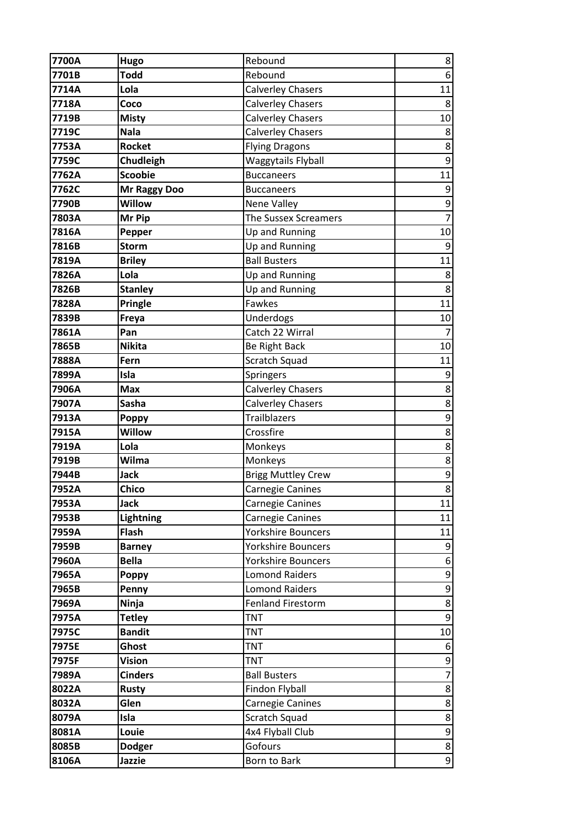| 7700A          | Hugo                | Rebound                   | 8              |
|----------------|---------------------|---------------------------|----------------|
| 7701B          | <b>Todd</b>         | Rebound                   | $\sqrt{6}$     |
| 7714A          | Lola                | <b>Calverley Chasers</b>  | 11             |
| 7718A          | Coco                | <b>Calverley Chasers</b>  | 8              |
| 7719B          | <b>Misty</b>        | <b>Calverley Chasers</b>  | 10             |
| 7719C          | <b>Nala</b>         | <b>Calverley Chasers</b>  | 8              |
| 7753A          | <b>Rocket</b>       | <b>Flying Dragons</b>     | 8              |
| 7759C          | Chudleigh           | Waggytails Flyball        | 9              |
| 7762A          | <b>Scoobie</b>      | <b>Buccaneers</b>         | 11             |
| 7762C          | <b>Mr Raggy Doo</b> | <b>Buccaneers</b>         | 9              |
| 7790B          | <b>Willow</b>       | Nene Valley               | $\mathsf 9$    |
| 7803A          | Mr Pip              | The Sussex Screamers      | $\overline{7}$ |
| 7816A          | Pepper              | Up and Running            | 10             |
| 7816B          | <b>Storm</b>        | Up and Running            | 9              |
| 7819A          | <b>Briley</b>       | <b>Ball Busters</b>       | 11             |
| 7826A          | Lola                | Up and Running            | 8              |
| 7826B          | <b>Stanley</b>      | Up and Running            | 8              |
| 7828A          | <b>Pringle</b>      | Fawkes                    | 11             |
| 7839B          | Freya               | Underdogs                 | 10             |
| 7861A          | Pan                 | Catch 22 Wirral           | 7              |
| 7865B          | <b>Nikita</b>       | Be Right Back             | 10             |
| 7888A          | Fern                | Scratch Squad             | 11             |
| 7899A          | Isla                | Springers                 | 9              |
| 7906A          | <b>Max</b>          | <b>Calverley Chasers</b>  | 8              |
| 7907A          | Sasha               | <b>Calverley Chasers</b>  | $\bf 8$        |
| 7913A          | <b>Poppy</b>        | <b>Trailblazers</b>       | 9              |
| 7915A          | <b>Willow</b>       | Crossfire                 | 8              |
| 7919A          | Lola                | Monkeys                   | $\bf 8$        |
| 7919B          | Wilma               | Monkeys                   | 8              |
| 7944B          | <b>Jack</b>         | <b>Brigg Muttley Crew</b> | 9              |
| 7952A          | <b>Chico</b>        | Carnegie Canines          | $\overline{8}$ |
| 7953A          | <b>Jack</b>         | Carnegie Canines          | 11             |
| 7953B          | <b>Lightning</b>    | Carnegie Canines          | 11             |
| 7959A          | Flash               | <b>Yorkshire Bouncers</b> | 11             |
| 7959B          | <b>Barney</b>       | <b>Yorkshire Bouncers</b> | 9              |
| 7960A          | <b>Bella</b>        | <b>Yorkshire Bouncers</b> | 6              |
| 7965A          | <b>Poppy</b>        | <b>Lomond Raiders</b>     | $\mathsf 9$    |
| 7965B          | Penny               | <b>Lomond Raiders</b>     | 9              |
| 7969A          | Ninja               | <b>Fenland Firestorm</b>  | 8              |
| 7975A          | <b>Tetley</b>       | <b>TNT</b>                | 9              |
| 7975C          | <b>Bandit</b>       | <b>TNT</b>                | 10             |
| 7975E          | Ghost               | <b>TNT</b>                | 6              |
| 7975F          | <b>Vision</b>       | <b>TNT</b>                | 9              |
| 7989A          | <b>Cinders</b>      | <b>Ball Busters</b>       | $\overline{7}$ |
| 8022A          | <b>Rusty</b>        | Findon Flyball            | 8              |
| 8032A          | Glen                | Carnegie Canines          | 8              |
| 8079A          | Isla                | Scratch Squad             | 8              |
| 8081A          | Louie               | 4x4 Flyball Club          | 9              |
| 8085B<br>8106A | <b>Dodger</b>       | Gofours                   | 8              |
|                | Jazzie              | Born to Bark              | $\overline{9}$ |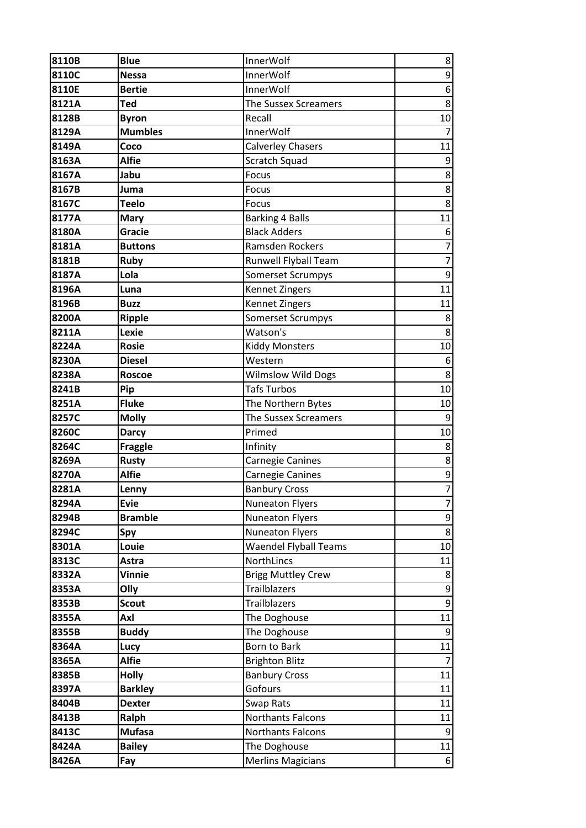| 8110B | <b>Blue</b>    | InnerWolf                    | 8                        |
|-------|----------------|------------------------------|--------------------------|
| 8110C | <b>Nessa</b>   | <b>InnerWolf</b>             | $\mathsf g$              |
| 8110E | <b>Bertie</b>  | <b>InnerWolf</b>             | $\boldsymbol{6}$         |
| 8121A | <b>Ted</b>     | <b>The Sussex Screamers</b>  | $\bf 8$                  |
| 8128B | <b>Byron</b>   | Recall                       | 10                       |
| 8129A | <b>Mumbles</b> | InnerWolf                    | $\overline{7}$           |
| 8149A | Coco           | <b>Calverley Chasers</b>     | 11                       |
| 8163A | <b>Alfie</b>   | Scratch Squad                | $9\,$                    |
| 8167A | Jabu           | Focus                        | $\bf 8$                  |
| 8167B | Juma           | Focus                        | 8                        |
| 8167C | Teelo          | Focus                        | $\bf 8$                  |
| 8177A | <b>Mary</b>    | <b>Barking 4 Balls</b>       | 11                       |
| 8180A | Gracie         | <b>Black Adders</b>          | 6                        |
| 8181A | <b>Buttons</b> | Ramsden Rockers              | $\overline{\mathcal{I}}$ |
| 8181B | <b>Ruby</b>    | Runwell Flyball Team         | $\overline{7}$           |
| 8187A | Lola           | <b>Somerset Scrumpys</b>     | $\mathsf g$              |
| 8196A | Luna           | Kennet Zingers               | 11                       |
| 8196B | <b>Buzz</b>    | Kennet Zingers               | 11                       |
| 8200A | <b>Ripple</b>  | <b>Somerset Scrumpys</b>     | 8                        |
| 8211A | Lexie          | Watson's                     | 8                        |
| 8224A | <b>Rosie</b>   | <b>Kiddy Monsters</b>        | 10                       |
| 8230A | <b>Diesel</b>  | Western                      | 6                        |
| 8238A | <b>Roscoe</b>  | <b>Wilmslow Wild Dogs</b>    | 8                        |
| 8241B | Pip            | <b>Tafs Turbos</b>           | 10                       |
| 8251A | <b>Fluke</b>   | The Northern Bytes           | 10                       |
| 8257C | <b>Molly</b>   | The Sussex Screamers         | $\overline{9}$           |
| 8260C | <b>Darcy</b>   | Primed                       | 10                       |
| 8264C | <b>Fraggle</b> | Infinity                     | $\bf 8$                  |
| 8269A | <b>Rusty</b>   | Carnegie Canines             | 8                        |
| 8270A | <b>Alfie</b>   | Carnegie Canines             | 9                        |
| 8281A | Lenny          | <b>Banbury Cross</b>         | $\overline{7}$           |
| 8294A | <b>Evie</b>    | <b>Nuneaton Flyers</b>       | $\overline{7}$           |
| 8294B | <b>Bramble</b> | <b>Nuneaton Flyers</b>       | $\overline{9}$           |
| 8294C | Spy            | <b>Nuneaton Flyers</b>       | $\bf 8$                  |
| 8301A | Louie          | <b>Waendel Flyball Teams</b> | 10                       |
| 8313C | Astra          | NorthLincs                   | 11                       |
| 8332A | <b>Vinnie</b>  | <b>Brigg Muttley Crew</b>    | 8                        |
| 8353A | Olly           | <b>Trailblazers</b>          | 9                        |
| 8353B | <b>Scout</b>   | <b>Trailblazers</b>          | $\mathsf 9$              |
| 8355A | Axl            | The Doghouse                 | 11                       |
| 8355B | <b>Buddy</b>   | The Doghouse                 | $\overline{9}$           |
| 8364A | Lucy           | Born to Bark                 | 11                       |
| 8365A | <b>Alfie</b>   | <b>Brighton Blitz</b>        | $\overline{7}$           |
| 8385B | <b>Holly</b>   | <b>Banbury Cross</b>         | 11                       |
| 8397A | <b>Barkley</b> | Gofours                      | 11                       |
| 8404B | <b>Dexter</b>  | Swap Rats                    | 11                       |
| 8413B | Ralph          | Northants Falcons            | 11                       |
| 8413C | <b>Mufasa</b>  | Northants Falcons            | 9                        |
| 8424A | <b>Bailey</b>  | The Doghouse                 | 11                       |
| 8426A | Fay            | <b>Merlins Magicians</b>     | 6                        |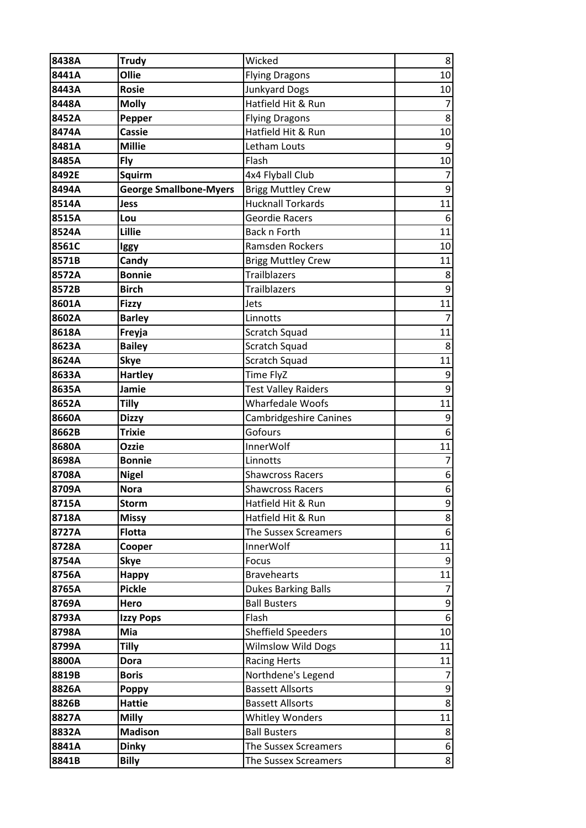| 8438A          | <b>Trudy</b>                  | Wicked                                       | 8                |
|----------------|-------------------------------|----------------------------------------------|------------------|
| 8441A          | Ollie                         | <b>Flying Dragons</b>                        | 10               |
| 8443A          | <b>Rosie</b>                  | <b>Junkyard Dogs</b>                         | 10               |
| 8448A          | <b>Molly</b>                  | Hatfield Hit & Run                           | $\overline{7}$   |
| 8452A          | Pepper                        | <b>Flying Dragons</b>                        | 8                |
| 8474A          | <b>Cassie</b>                 | Hatfield Hit & Run                           | 10               |
| 8481A          | <b>Millie</b>                 | Letham Louts                                 | 9                |
| 8485A          | Fly                           | Flash                                        | 10               |
| 8492E          | <b>Squirm</b>                 | 4x4 Flyball Club                             | $\overline{7}$   |
| 8494A          | <b>George Smallbone-Myers</b> | <b>Brigg Muttley Crew</b>                    | 9                |
| 8514A          | <b>Jess</b>                   | <b>Hucknall Torkards</b>                     | 11               |
| 8515A          | Lou                           | <b>Geordie Racers</b>                        | 6                |
| 8524A          | Lillie                        | Back n Forth                                 | 11               |
| 8561C          | Iggy                          | Ramsden Rockers                              | 10               |
| 8571B          | Candy                         | <b>Brigg Muttley Crew</b>                    | 11               |
| 8572A          | <b>Bonnie</b>                 | Trailblazers                                 | 8                |
| 8572B          | <b>Birch</b>                  | <b>Trailblazers</b>                          | $\boldsymbol{9}$ |
| 8601A          | <b>Fizzy</b>                  | Jets                                         | 11               |
| 8602A          | <b>Barley</b>                 | Linnotts                                     | $\overline{7}$   |
| 8618A          | Freyja                        | Scratch Squad                                | 11               |
| 8623A          | <b>Bailey</b>                 | Scratch Squad                                | 8                |
| 8624A          | <b>Skye</b>                   | Scratch Squad                                | 11               |
| 8633A          | <b>Hartley</b>                | Time FlyZ                                    | 9                |
| 8635A          | Jamie                         | <b>Test Valley Raiders</b>                   | $\boldsymbol{9}$ |
| 8652A          | <b>Tilly</b>                  | Wharfedale Woofs                             | 11               |
|                |                               |                                              |                  |
| 8660A          | <b>Dizzy</b>                  | <b>Cambridgeshire Canines</b>                | 9                |
| 8662B          | <b>Trixie</b>                 | Gofours                                      | 6                |
| 8680A          | <b>Ozzie</b>                  | <b>InnerWolf</b>                             | 11               |
| 8698A          | <b>Bonnie</b>                 | Linnotts                                     | $\overline{7}$   |
| 8708A          | <b>Nigel</b>                  | <b>Shawcross Racers</b>                      | $\boldsymbol{6}$ |
| 8709A          | <b>Nora</b>                   | <b>Shawcross Racers</b>                      | 6                |
| 8715A          | <b>Storm</b>                  | Hatfield Hit & Run                           | 9                |
| 8718A          | <b>Missy</b>                  | Hatfield Hit & Run                           | 8                |
| 8727A          | <b>Flotta</b>                 | The Sussex Screamers                         | 6                |
| 8728A          | Cooper                        | <b>InnerWolf</b>                             | 11               |
| 8754A          | <b>Skye</b>                   | Focus                                        | 9                |
| 8756A          | <b>Happy</b>                  | <b>Bravehearts</b>                           | 11               |
| 8765A          | <b>Pickle</b>                 | <b>Dukes Barking Balls</b>                   | 7                |
| 8769A          | Hero                          | <b>Ball Busters</b>                          | 9                |
| 8793A          | <b>Izzy Pops</b>              | Flash                                        | 6                |
| 8798A          | Mia                           | <b>Sheffield Speeders</b>                    | 10               |
| 8799A          | Tilly                         | <b>Wilmslow Wild Dogs</b>                    | 11               |
| 8800A          | <b>Dora</b>                   | <b>Racing Herts</b>                          | 11               |
| 8819B          | <b>Boris</b>                  | Northdene's Legend                           | 7                |
| 8826A          | <b>Poppy</b>                  | <b>Bassett Allsorts</b>                      | 9                |
| 8826B          | <b>Hattie</b>                 | <b>Bassett Allsorts</b>                      | 8                |
| 8827A          | <b>Milly</b>                  | <b>Whitley Wonders</b>                       | 11               |
| 8832A          | <b>Madison</b>                | <b>Ball Busters</b>                          | 8                |
| 8841A<br>8841B | <b>Dinky</b><br><b>Billy</b>  | The Sussex Screamers<br>The Sussex Screamers | 6<br>8           |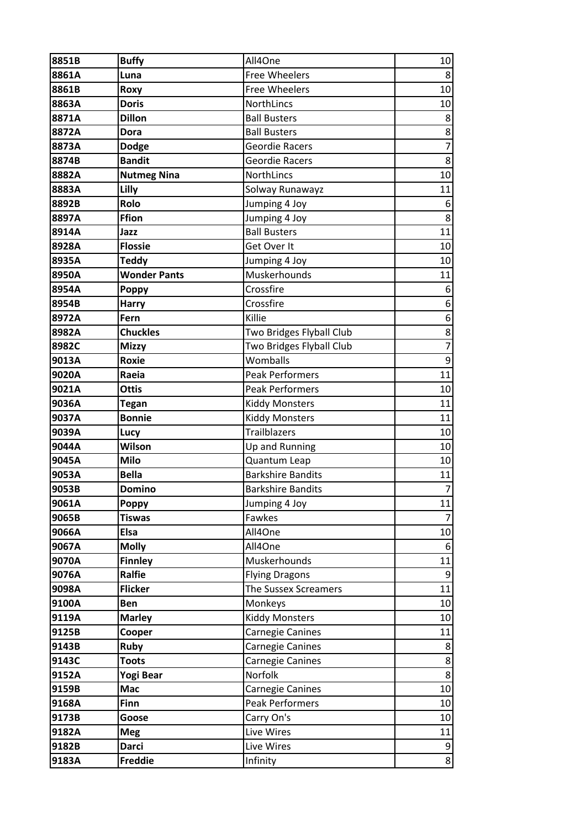| 8851B | <b>Buffy</b>        | All4One                  | 10               |
|-------|---------------------|--------------------------|------------------|
| 8861A | Luna                | <b>Free Wheelers</b>     | 8                |
| 8861B | Roxy                | <b>Free Wheelers</b>     | 10               |
| 8863A | <b>Doris</b>        | NorthLincs               | 10               |
| 8871A | <b>Dillon</b>       | <b>Ball Busters</b>      | 8                |
| 8872A | <b>Dora</b>         | <b>Ball Busters</b>      | 8                |
| 8873A | <b>Dodge</b>        | <b>Geordie Racers</b>    | $\overline{7}$   |
| 8874B | <b>Bandit</b>       | <b>Geordie Racers</b>    | 8                |
| 8882A | <b>Nutmeg Nina</b>  | NorthLincs               | 10               |
| 8883A | Lilly               | Solway Runawayz          | 11               |
| 8892B | Rolo                | Jumping 4 Joy            | 6                |
| 8897A | Ffion               | Jumping 4 Joy            | $\bf 8$          |
| 8914A | Jazz                | <b>Ball Busters</b>      | 11               |
| 8928A | <b>Flossie</b>      | Get Over It              | 10               |
| 8935A | <b>Teddy</b>        | Jumping 4 Joy            | 10               |
| 8950A | <b>Wonder Pants</b> | Muskerhounds             | 11               |
| 8954A | <b>Poppy</b>        | Crossfire                | 6                |
| 8954B | <b>Harry</b>        | Crossfire                | $\boldsymbol{6}$ |
| 8972A | Fern                | Killie                   | 6                |
| 8982A | <b>Chuckles</b>     | Two Bridges Flyball Club | $\frac{8}{1}$    |
| 8982C | <b>Mizzy</b>        | Two Bridges Flyball Club | $\overline{7}$   |
| 9013A | Roxie               | Womballs                 | $\mathsf 9$      |
| 9020A | Raeia               | <b>Peak Performers</b>   | 11               |
| 9021A | <b>Ottis</b>        | <b>Peak Performers</b>   | 10               |
| 9036A | <b>Tegan</b>        | <b>Kiddy Monsters</b>    | 11               |
| 9037A | <b>Bonnie</b>       | <b>Kiddy Monsters</b>    | 11               |
| 9039A | Lucy                | <b>Trailblazers</b>      | 10               |
| 9044A | Wilson              | Up and Running           | 10               |
| 9045A | <b>Milo</b>         | Quantum Leap             | 10               |
| 9053A | <b>Bella</b>        | <b>Barkshire Bandits</b> | 11               |
| 9053B | <b>Domino</b>       | <b>Barkshire Bandits</b> | $\overline{7}$   |
| 9061A | Poppy               | Jumping 4 Joy            | 11               |
| 9065B | <b>Tiswas</b>       | Fawkes                   | $\overline{7}$   |
| 9066A | Elsa                | All4One                  | 10               |
| 9067A | <b>Molly</b>        | All4One                  | 6                |
| 9070A | <b>Finnley</b>      | Muskerhounds             | 11               |
| 9076A | Ralfie              | <b>Flying Dragons</b>    | 9                |
| 9098A | <b>Flicker</b>      | The Sussex Screamers     | 11               |
| 9100A | Ben                 | Monkeys                  | 10               |
| 9119A | <b>Marley</b>       | <b>Kiddy Monsters</b>    | 10               |
| 9125B | Cooper              | Carnegie Canines         | 11               |
| 9143B | <b>Ruby</b>         | Carnegie Canines         | 8                |
| 9143C | <b>Toots</b>        | Carnegie Canines         | $\bf 8$          |
| 9152A | Yogi Bear           | Norfolk                  | 8                |
| 9159B | Mac                 | Carnegie Canines         | 10               |
| 9168A | Finn                | <b>Peak Performers</b>   | 10               |
| 9173B | Goose               | Carry On's               | 10               |
| 9182A | <b>Meg</b>          | Live Wires               | 11               |
| 9182B | <b>Darci</b>        | Live Wires               | 9                |
| 9183A | <b>Freddie</b>      | Infinity                 | 8                |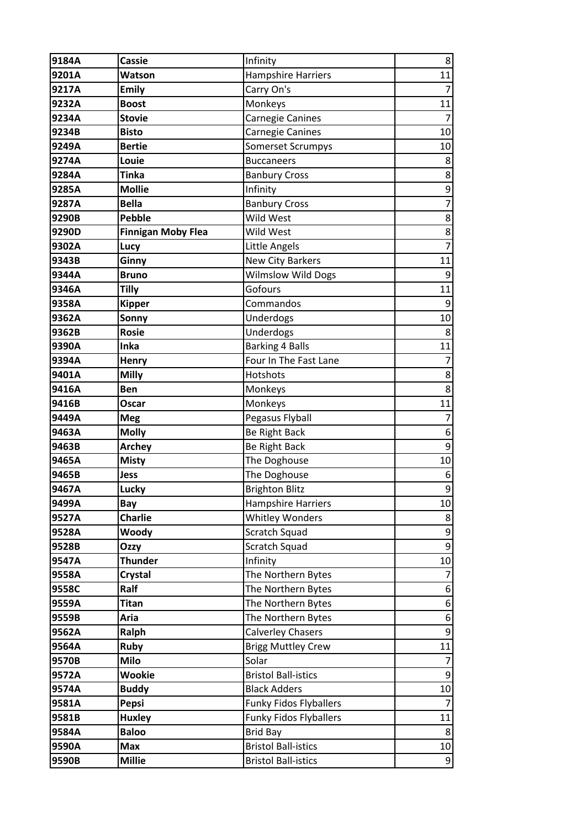| 9184A | <b>Cassie</b>             | Infinity                      | 8                |
|-------|---------------------------|-------------------------------|------------------|
| 9201A | Watson                    | <b>Hampshire Harriers</b>     | 11               |
| 9217A | <b>Emily</b>              | Carry On's                    | $\overline{7}$   |
| 9232A | <b>Boost</b>              | Monkeys                       | 11               |
| 9234A | <b>Stovie</b>             | Carnegie Canines              | $\overline{7}$   |
| 9234B | <b>Bisto</b>              | Carnegie Canines              | 10               |
| 9249A | <b>Bertie</b>             | <b>Somerset Scrumpys</b>      | 10               |
| 9274A | Louie                     | <b>Buccaneers</b>             | 8                |
| 9284A | <b>Tinka</b>              | <b>Banbury Cross</b>          | 8                |
| 9285A | <b>Mollie</b>             | Infinity                      | 9                |
| 9287A | <b>Bella</b>              | <b>Banbury Cross</b>          | $\overline{7}$   |
| 9290B | <b>Pebble</b>             | Wild West                     | 8                |
| 9290D | <b>Finnigan Moby Flea</b> | Wild West                     | 8                |
| 9302A | Lucy                      | <b>Little Angels</b>          | $\overline{7}$   |
| 9343B | Ginny                     | <b>New City Barkers</b>       | 11               |
| 9344A | <b>Bruno</b>              | <b>Wilmslow Wild Dogs</b>     | 9                |
| 9346A | <b>Tilly</b>              | Gofours                       | 11               |
| 9358A | <b>Kipper</b>             | Commandos                     | 9                |
| 9362A | Sonny                     | Underdogs                     | 10               |
| 9362B | <b>Rosie</b>              | Underdogs                     | 8                |
| 9390A | Inka                      | <b>Barking 4 Balls</b>        | 11               |
| 9394A | <b>Henry</b>              | Four In The Fast Lane         | 7                |
| 9401A | <b>Milly</b>              | Hotshots                      | 8                |
| 9416A | <b>Ben</b>                | Monkeys                       | 8                |
| 9416B | Oscar                     | Monkeys                       | 11               |
| 9449A | <b>Meg</b>                | Pegasus Flyball               | $\overline{7}$   |
| 9463A | <b>Molly</b>              | <b>Be Right Back</b>          | 6                |
| 9463B | <b>Archey</b>             | Be Right Back                 | 9                |
| 9465A | <b>Misty</b>              | The Doghouse                  | 10               |
| 9465B | Jess                      | The Doghouse                  | 6                |
| 9467A | Lucky                     | <b>Brighton Blitz</b>         | $\overline{9}$   |
| 9499A | Bay                       | <b>Hampshire Harriers</b>     | 10               |
| 9527A | <b>Charlie</b>            | <b>Whitley Wonders</b>        | 8                |
| 9528A | Woody                     | Scratch Squad                 | 9                |
| 9528B | Ozzy                      | Scratch Squad                 | $\mathsf g$      |
| 9547A | <b>Thunder</b>            | Infinity                      | 10               |
| 9558A | <b>Crystal</b>            | The Northern Bytes            | 7                |
| 9558C | Ralf                      | The Northern Bytes            | 6                |
| 9559A | <b>Titan</b>              | The Northern Bytes            | 6                |
| 9559B | Aria                      | The Northern Bytes            | $\boldsymbol{6}$ |
| 9562A | Ralph                     | <b>Calverley Chasers</b>      | $\boldsymbol{9}$ |
| 9564A | Ruby                      | <b>Brigg Muttley Crew</b>     | 11               |
| 9570B | <b>Milo</b>               | Solar                         | $\overline{7}$   |
| 9572A | <b>Wookie</b>             | <b>Bristol Ball-istics</b>    | $\boldsymbol{9}$ |
| 9574A | <b>Buddy</b>              | <b>Black Adders</b>           | 10               |
| 9581A | Pepsi                     | <b>Funky Fidos Flyballers</b> | 7                |
| 9581B | <b>Huxley</b>             | <b>Funky Fidos Flyballers</b> | 11               |
| 9584A | <b>Baloo</b>              | <b>Brid Bay</b>               | 8                |
| 9590A | <b>Max</b>                | <b>Bristol Ball-istics</b>    | 10               |
| 9590B | <b>Millie</b>             | <b>Bristol Ball-istics</b>    | $\boldsymbol{9}$ |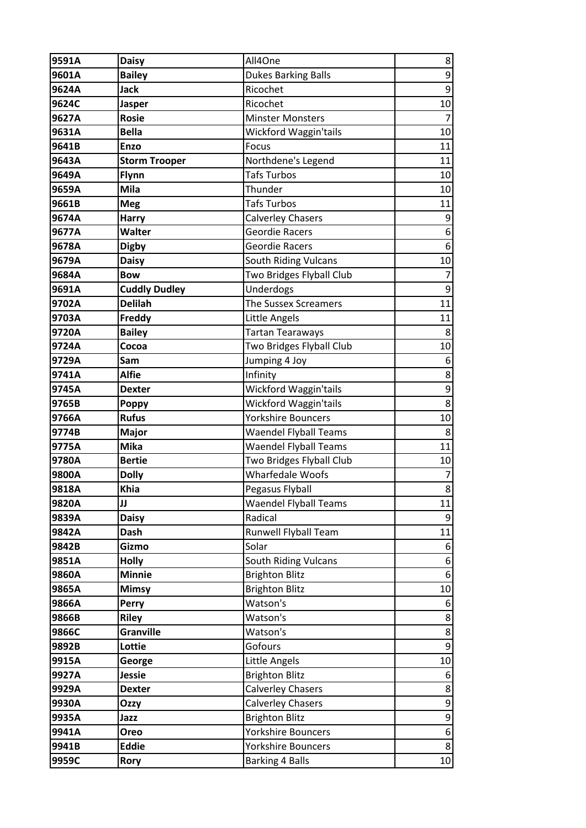| 9591A | <b>Daisy</b>         | All4One                      | 8                |
|-------|----------------------|------------------------------|------------------|
| 9601A | <b>Bailey</b>        | <b>Dukes Barking Balls</b>   | $9\,$            |
| 9624A | Jack                 | Ricochet                     | $\boldsymbol{9}$ |
| 9624C | <b>Jasper</b>        | Ricochet                     | 10               |
| 9627A | <b>Rosie</b>         | <b>Minster Monsters</b>      | $\overline{7}$   |
| 9631A | <b>Bella</b>         | Wickford Waggin'tails        | 10               |
| 9641B | <b>Enzo</b>          | Focus                        | 11               |
| 9643A | <b>Storm Trooper</b> | Northdene's Legend           | 11               |
| 9649A | Flynn                | <b>Tafs Turbos</b>           | 10               |
| 9659A | Mila                 | Thunder                      | 10               |
| 9661B | <b>Meg</b>           | <b>Tafs Turbos</b>           | 11               |
| 9674A | <b>Harry</b>         | <b>Calverley Chasers</b>     | 9                |
| 9677A | Walter               | Geordie Racers               | 6                |
| 9678A | <b>Digby</b>         | Geordie Racers               | $\boldsymbol{6}$ |
| 9679A | <b>Daisy</b>         | <b>South Riding Vulcans</b>  | 10               |
| 9684A | <b>Bow</b>           | Two Bridges Flyball Club     | $\overline{7}$   |
| 9691A | <b>Cuddly Dudley</b> | Underdogs                    | 9                |
| 9702A | <b>Delilah</b>       | The Sussex Screamers         | 11               |
| 9703A | Freddy               | Little Angels                | 11               |
| 9720A | <b>Bailey</b>        | Tartan Tearaways             | 8                |
| 9724A | Cocoa                | Two Bridges Flyball Club     | 10               |
| 9729A | Sam                  | Jumping 4 Joy                | 6                |
| 9741A | <b>Alfie</b>         | Infinity                     | 8                |
| 9745A | <b>Dexter</b>        | Wickford Waggin'tails        | 9                |
| 9765B | <b>Poppy</b>         | Wickford Waggin'tails        | $\bf 8$          |
| 9766A | <b>Rufus</b>         | <b>Yorkshire Bouncers</b>    | 10               |
| 9774B | <b>Major</b>         | <b>Waendel Flyball Teams</b> | 8                |
| 9775A | <b>Mika</b>          | <b>Waendel Flyball Teams</b> | 11               |
| 9780A | <b>Bertie</b>        | Two Bridges Flyball Club     | 10               |
| 9800A | <b>Dolly</b>         | <b>Wharfedale Woofs</b>      | $\overline{7}$   |
| 9818A | <b>Khia</b>          | Pegasus Flyball              | 8                |
| 9820A | JJ                   | <b>Waendel Flyball Teams</b> | 11               |
| 9839A | <b>Daisy</b>         | Radical                      | 9                |
| 9842A | <b>Dash</b>          | <b>Runwell Flyball Team</b>  | 11               |
| 9842B | Gizmo                | Solar                        | $6 \overline{6}$ |
| 9851A | <b>Holly</b>         | <b>South Riding Vulcans</b>  | 6                |
| 9860A | <b>Minnie</b>        | <b>Brighton Blitz</b>        | 6                |
| 9865A | <b>Mimsy</b>         | <b>Brighton Blitz</b>        | 10               |
| 9866A | <b>Perry</b>         | Watson's                     | 6                |
| 9866B | <b>Riley</b>         | Watson's                     | 8                |
| 9866C | <b>Granville</b>     | Watson's                     | $\bf 8$          |
| 9892B | Lottie               | Gofours                      | $\overline{9}$   |
| 9915A | George               | Little Angels                | 10               |
| 9927A | <b>Jessie</b>        | <b>Brighton Blitz</b>        | 6                |
| 9929A | <b>Dexter</b>        | <b>Calverley Chasers</b>     | 8                |
| 9930A | Ozzy                 | <b>Calverley Chasers</b>     | 9                |
| 9935A | Jazz                 | <b>Brighton Blitz</b>        | $\boldsymbol{9}$ |
| 9941A | Oreo                 | <b>Yorkshire Bouncers</b>    | 6                |
| 9941B | <b>Eddie</b>         | <b>Yorkshire Bouncers</b>    | 8                |
| 9959C | <b>Rory</b>          | <b>Barking 4 Balls</b>       | 10               |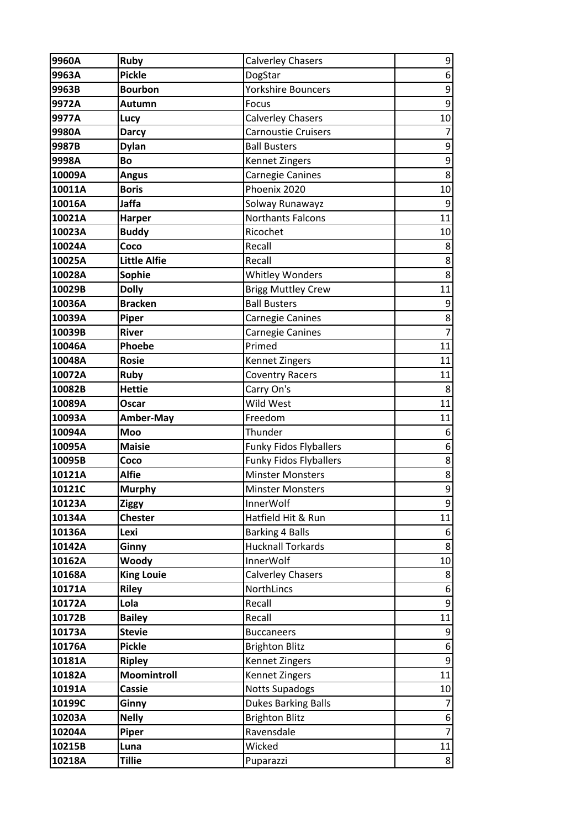| 9960A  | <b>Ruby</b>       | <b>Calverley Chasers</b>      | 9                |
|--------|-------------------|-------------------------------|------------------|
| 9963A  | <b>Pickle</b>     | DogStar                       | $\boldsymbol{6}$ |
| 9963B  | <b>Bourbon</b>    | <b>Yorkshire Bouncers</b>     | 9                |
| 9972A  | Autumn            | Focus                         | 9                |
| 9977A  | Lucy              | <b>Calverley Chasers</b>      | 10               |
| 9980A  | <b>Darcy</b>      | <b>Carnoustie Cruisers</b>    | 7                |
| 9987B  | <b>Dylan</b>      | <b>Ball Busters</b>           | 9                |
| 9998A  | Bo                | Kennet Zingers                | $\mathsf 9$      |
| 10009A | <b>Angus</b>      | Carnegie Canines              | 8                |
| 10011A | <b>Boris</b>      | Phoenix 2020                  | 10               |
| 10016A | Jaffa             | Solway Runawayz               | $9\,$            |
| 10021A | <b>Harper</b>     | <b>Northants Falcons</b>      | 11               |
| 10023A | <b>Buddy</b>      | Ricochet                      | 10               |
| 10024A | Coco              | Recall                        | 8                |
| 10025A | Little Alfie      | Recall                        | 8                |
| 10028A | <b>Sophie</b>     | <b>Whitley Wonders</b>        | 8                |
| 10029B | <b>Dolly</b>      | <b>Brigg Muttley Crew</b>     | 11               |
| 10036A | <b>Bracken</b>    | <b>Ball Busters</b>           | 9                |
| 10039A | Piper             | Carnegie Canines              | 8                |
| 10039B | <b>River</b>      | Carnegie Canines              | $\overline{7}$   |
| 10046A | Phoebe            | Primed                        | 11               |
| 10048A | <b>Rosie</b>      | Kennet Zingers                | 11               |
| 10072A | <b>Ruby</b>       | <b>Coventry Racers</b>        | 11               |
| 10082B | <b>Hettie</b>     | Carry On's                    | 8                |
| 10089A | Oscar             | Wild West                     | 11               |
| 10093A | Amber-May         | Freedom                       | 11               |
| 10094A | Moo               | Thunder                       | 6                |
| 10095A | <b>Maisie</b>     | <b>Funky Fidos Flyballers</b> | 6                |
| 10095B | Coco              | <b>Funky Fidos Flyballers</b> | 8                |
| 10121A | <b>Alfie</b>      | <b>Minster Monsters</b>       | 8                |
| 10121C | <b>Murphy</b>     | <b>Minster Monsters</b>       | 9                |
| 10123A | <b>Ziggy</b>      | <b>InnerWolf</b>              | 9                |
| 10134A | <b>Chester</b>    | Hatfield Hit & Run            | 11               |
| 10136A | Lexi              | <b>Barking 4 Balls</b>        | 6                |
| 10142A | Ginny             | <b>Hucknall Torkards</b>      | 8                |
| 10162A | Woody             | InnerWolf                     | 10               |
| 10168A | <b>King Louie</b> | <b>Calverley Chasers</b>      | 8                |
| 10171A | <b>Riley</b>      | NorthLincs                    | 6                |
| 10172A | Lola              | Recall                        | 9                |
| 10172B | <b>Bailey</b>     | Recall                        | 11               |
| 10173A | <b>Stevie</b>     | <b>Buccaneers</b>             | 9                |
| 10176A | <b>Pickle</b>     | <b>Brighton Blitz</b>         | 6                |
| 10181A | <b>Ripley</b>     | Kennet Zingers                | 9                |
| 10182A | Moomintroll       | Kennet Zingers                | 11               |
| 10191A | <b>Cassie</b>     | <b>Notts Supadogs</b>         | 10               |
| 10199C | Ginny             | <b>Dukes Barking Balls</b>    | 7                |
| 10203A | <b>Nelly</b>      | <b>Brighton Blitz</b>         | 6                |
| 10204A | Piper             | Ravensdale                    | $\overline{7}$   |
| 10215B | Luna              | Wicked                        | 11               |
| 10218A | <b>Tillie</b>     | Puparazzi                     | 8                |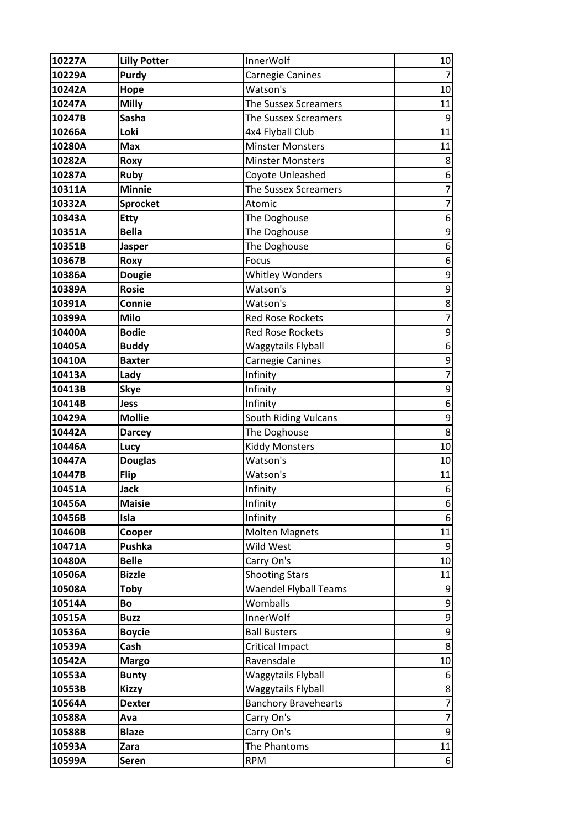| 10227A | <b>Lilly Potter</b> | <b>InnerWolf</b>             | 10               |
|--------|---------------------|------------------------------|------------------|
| 10229A | Purdy               | Carnegie Canines             | $\overline{7}$   |
| 10242A | Hope                | Watson's                     | 10               |
| 10247A | <b>Milly</b>        | The Sussex Screamers         | 11               |
| 10247B | <b>Sasha</b>        | <b>The Sussex Screamers</b>  | 9                |
| 10266A | Loki                | 4x4 Flyball Club             | 11               |
| 10280A | <b>Max</b>          | <b>Minster Monsters</b>      | 11               |
| 10282A | Roxy                | <b>Minster Monsters</b>      | 8                |
| 10287A | <b>Ruby</b>         | Coyote Unleashed             | 6                |
| 10311A | <b>Minnie</b>       | The Sussex Screamers         | $\overline{7}$   |
| 10332A | <b>Sprocket</b>     | Atomic                       | 7                |
| 10343A | <b>Etty</b>         | The Doghouse                 | 6                |
| 10351A | <b>Bella</b>        | The Doghouse                 | 9                |
| 10351B | <b>Jasper</b>       | The Doghouse                 | 6                |
| 10367B | Roxy                | Focus                        | 6                |
| 10386A | <b>Dougie</b>       | <b>Whitley Wonders</b>       | $\mathsf 9$      |
| 10389A | <b>Rosie</b>        | Watson's                     | 9                |
| 10391A | Connie              | Watson's                     | 8                |
| 10399A | <b>Milo</b>         | <b>Red Rose Rockets</b>      | $\overline{7}$   |
| 10400A | <b>Bodie</b>        | <b>Red Rose Rockets</b>      | 9                |
| 10405A | <b>Buddy</b>        | Waggytails Flyball           | $\boldsymbol{6}$ |
| 10410A | <b>Baxter</b>       | Carnegie Canines             | 9                |
| 10413A | Lady                | Infinity                     | $\overline{7}$   |
| 10413B | <b>Skye</b>         | Infinity                     | 9                |
| 10414B | <b>Jess</b>         | Infinity                     | 6                |
| 10429A | <b>Mollie</b>       | South Riding Vulcans         | $\mathsf 9$      |
| 10442A | <b>Darcey</b>       | The Doghouse                 | 8                |
| 10446A | Lucy                | <b>Kiddy Monsters</b>        | 10               |
| 10447A | <b>Douglas</b>      | Watson's                     | 10               |
| 10447B | <b>Flip</b>         | Watson's                     | 11               |
| 10451A | <b>Jack</b>         | Infinity                     | $6\,$            |
| 10456A | <b>Maisie</b>       | Infinity                     | $\boldsymbol{6}$ |
| 10456B | Isla                | Infinity                     | $\boldsymbol{6}$ |
| 10460B | Cooper              | <b>Molten Magnets</b>        | 11               |
| 10471A | Pushka              | Wild West                    | 9                |
| 10480A | <b>Belle</b>        | Carry On's                   | 10               |
| 10506A | <b>Bizzle</b>       | <b>Shooting Stars</b>        | 11               |
| 10508A | <b>Toby</b>         | <b>Waendel Flyball Teams</b> | 9                |
| 10514A | Bo                  | Womballs                     | $\mathsf 9$      |
| 10515A | <b>Buzz</b>         | <b>InnerWolf</b>             | $\mathsf 9$      |
| 10536A | <b>Boycie</b>       | <b>Ball Busters</b>          | 9                |
| 10539A | Cash                | Critical Impact              | 8                |
| 10542A | <b>Margo</b>        | Ravensdale                   | 10               |
| 10553A | <b>Bunty</b>        | Waggytails Flyball           | 6                |
| 10553B | <b>Kizzy</b>        | Waggytails Flyball           | $\bf 8$          |
| 10564A | <b>Dexter</b>       | <b>Banchory Bravehearts</b>  | $\overline{7}$   |
| 10588A | Ava                 | Carry On's                   | $\overline{7}$   |
| 10588B | <b>Blaze</b>        | Carry On's                   | 9                |
| 10593A | Zara                | The Phantoms                 | 11               |
| 10599A | <b>Seren</b>        | <b>RPM</b>                   | 6                |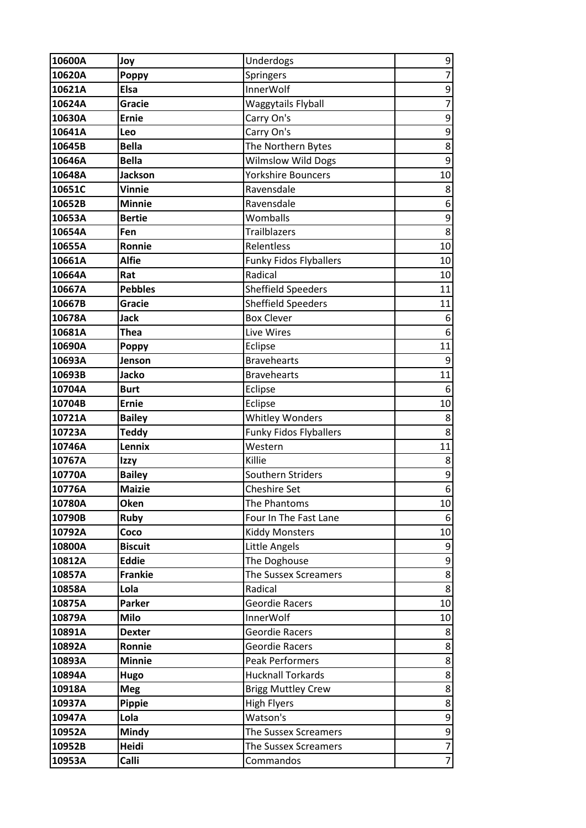| 10600A | Joy            | Underdogs                     | 9                |
|--------|----------------|-------------------------------|------------------|
| 10620A | <b>Poppy</b>   | Springers                     | $\overline{7}$   |
| 10621A | <b>Elsa</b>    | <b>InnerWolf</b>              | 9                |
| 10624A | Gracie         | Waggytails Flyball            | $\overline{7}$   |
| 10630A | <b>Ernie</b>   | Carry On's                    | 9                |
| 10641A | Leo            | Carry On's                    | 9                |
| 10645B | <b>Bella</b>   | The Northern Bytes            | 8                |
| 10646A | <b>Bella</b>   | <b>Wilmslow Wild Dogs</b>     | 9                |
| 10648A | <b>Jackson</b> | Yorkshire Bouncers            | 10               |
| 10651C | <b>Vinnie</b>  | Ravensdale                    | 8                |
| 10652B | <b>Minnie</b>  | Ravensdale                    | 6                |
| 10653A | <b>Bertie</b>  | Womballs                      | 9                |
| 10654A | Fen            | <b>Trailblazers</b>           | $\overline{8}$   |
| 10655A | Ronnie         | Relentless                    | 10               |
| 10661A | <b>Alfie</b>   | <b>Funky Fidos Flyballers</b> | 10               |
| 10664A | Rat            | Radical                       | 10               |
| 10667A | <b>Pebbles</b> | <b>Sheffield Speeders</b>     | 11               |
| 10667B | Gracie         | <b>Sheffield Speeders</b>     | 11               |
| 10678A | <b>Jack</b>    | <b>Box Clever</b>             | 6                |
| 10681A | Thea           | Live Wires                    | 6                |
| 10690A | <b>Poppy</b>   | Eclipse                       | 11               |
| 10693A | Jenson         | <b>Bravehearts</b>            | 9                |
| 10693B | Jacko          | <b>Bravehearts</b>            | 11               |
| 10704A | <b>Burt</b>    | Eclipse                       | 6                |
| 10704B | <b>Ernie</b>   | Eclipse                       | 10               |
| 10721A | <b>Bailey</b>  | <b>Whitley Wonders</b>        | 8                |
| 10723A | <b>Teddy</b>   | <b>Funky Fidos Flyballers</b> | 8                |
| 10746A | Lennix         | Western                       | 11               |
| 10767A | Izzy           | Killie                        | 8                |
| 10770A | <b>Bailey</b>  | Southern Striders             | $\mathsf 9$      |
| 10776A | <b>Maizie</b>  | <b>Cheshire Set</b>           | $\overline{6}$   |
| 10780A | Oken           | The Phantoms                  | 10               |
| 10790B | <b>Ruby</b>    | Four In The Fast Lane         | 6                |
| 10792A | Coco           | <b>Kiddy Monsters</b>         | 10               |
| 10800A | <b>Biscuit</b> | Little Angels                 | 9                |
| 10812A | <b>Eddie</b>   | The Doghouse                  | 9                |
| 10857A | <b>Frankie</b> | The Sussex Screamers          | 8                |
| 10858A | Lola           | Radical                       | 8                |
| 10875A | Parker         | Geordie Racers                | 10               |
| 10879A | <b>Milo</b>    | InnerWolf                     | 10               |
| 10891A | <b>Dexter</b>  | Geordie Racers                | 8                |
| 10892A | Ronnie         | Geordie Racers                | $\bf 8$          |
| 10893A | <b>Minnie</b>  | <b>Peak Performers</b>        | $\bf 8$          |
| 10894A | Hugo           | <b>Hucknall Torkards</b>      | $\bf 8$          |
| 10918A | <b>Meg</b>     | <b>Brigg Muttley Crew</b>     | 8                |
| 10937A | Pippie         | <b>High Flyers</b>            | 8                |
| 10947A | Lola           | Watson's                      | $\boldsymbol{9}$ |
| 10952A | Mindy          | The Sussex Screamers          | $\boldsymbol{9}$ |
| 10952B | Heidi          | The Sussex Screamers          | $\overline{7}$   |
| 10953A | Calli          | Commandos                     | $\overline{7}$   |